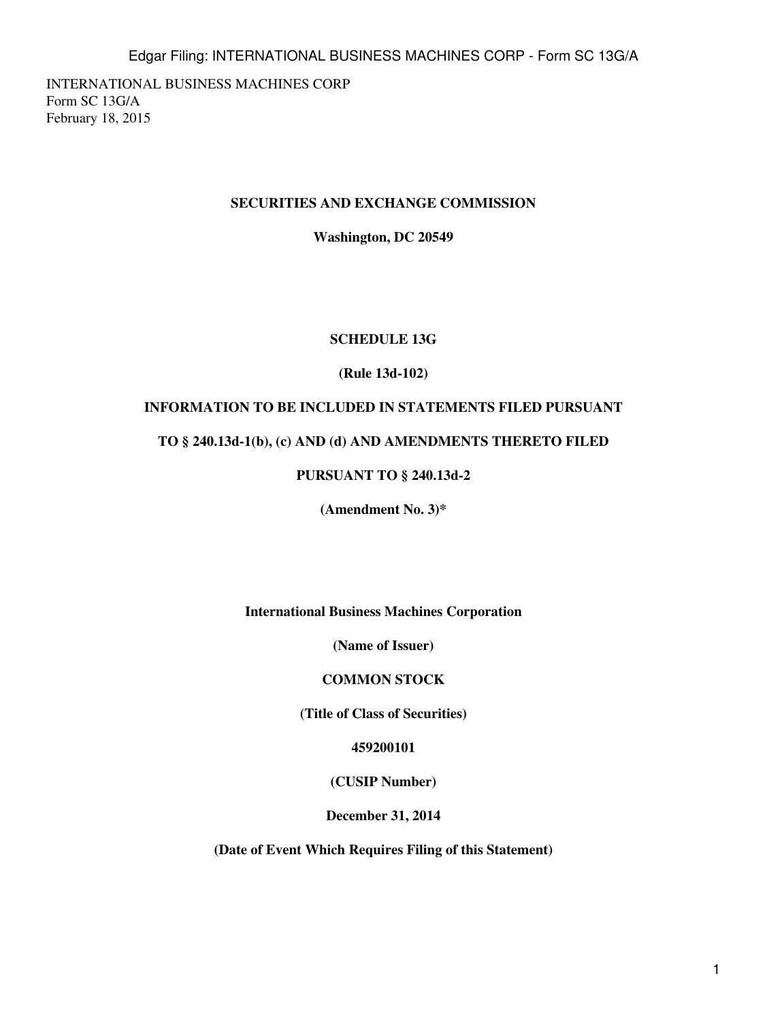INTERNATIONAL BUSINESS MACHINES CORP Form SC 13G/A February 18, 2015

#### **SECURITIES AND EXCHANGE COMMISSION**

**Washington, DC 20549**

#### **SCHEDULE 13G**

## **(Rule 13d-102)**

## **INFORMATION TO BE INCLUDED IN STATEMENTS FILED PURSUANT**

#### **TO § 240.13d-1(b), (c) AND (d) AND AMENDMENTS THERETO FILED**

## **PURSUANT TO § 240.13d-2**

**(Amendment No. 3)\***

**International Business Machines Corporation**

**(Name of Issuer)**

#### **COMMON STOCK**

**(Title of Class of Securities)**

**459200101**

**(CUSIP Number)**

**December 31, 2014**

**(Date of Event Which Requires Filing of this Statement)**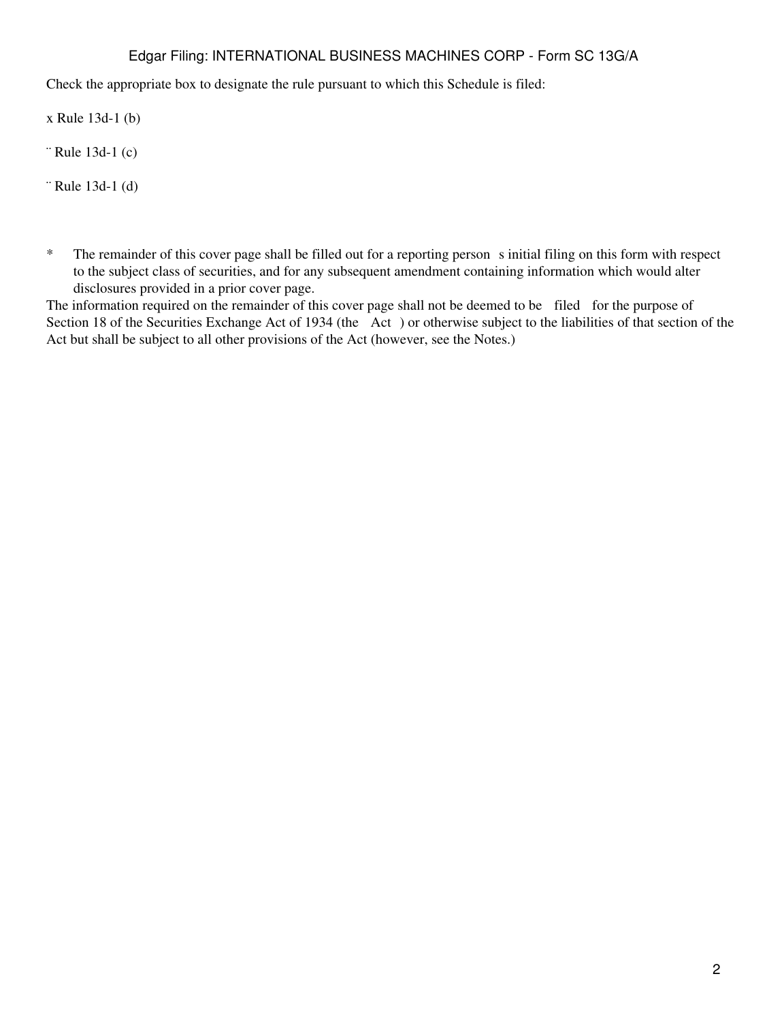Check the appropriate box to designate the rule pursuant to which this Schedule is filed:

x Rule 13d-1 (b)

¨ Rule 13d-1 (c)

¨ Rule 13d-1 (d)

\* The remainder of this cover page shall be filled out for a reporting person s initial filing on this form with respect to the subject class of securities, and for any subsequent amendment containing information which would alter disclosures provided in a prior cover page.

The information required on the remainder of this cover page shall not be deemed to be filed for the purpose of Section 18 of the Securities Exchange Act of 1934 (the Act) or otherwise subject to the liabilities of that section of the Act but shall be subject to all other provisions of the Act (however, see the Notes.)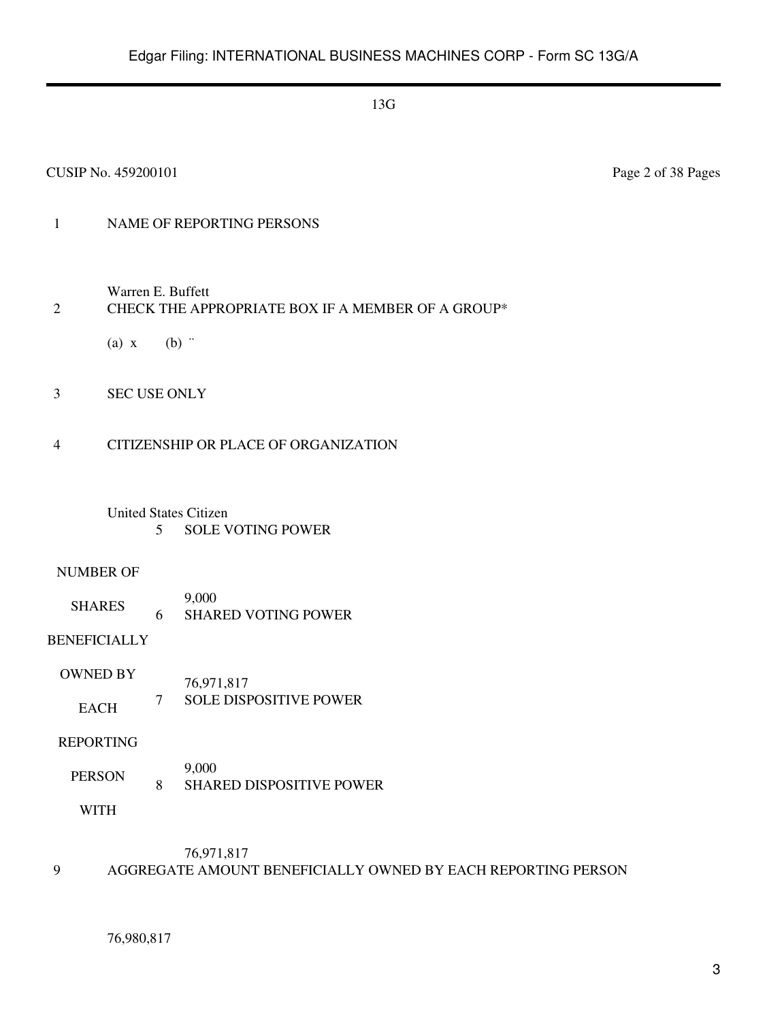#### CUSIP No. 459200101 Page 2 of 38 Pages

## 1 NAME OF REPORTING PERSONS

Warren E. Buffett

## 2 CHECK THE APPROPRIATE BOX IF A MEMBER OF A GROUP\*

(a)  $x$  (b)  $\dddot{ }$ 

3 SEC USE ONLY

#### 4 CITIZENSHIP OR PLACE OF ORGANIZATION

## United States Citizen 5 SOLE VOTING POWER

#### NUMBER OF

SHARES 9,000 6 SHARED VOTING POWER

## BENEFICIALLY

OWNED BY EACH 76,971,817 7 SOLE DISPOSITIVE POWER

#### REPORTING

PERSON 9,000 8 SHARED DISPOSITIVE POWER

WITH

## 76,971,817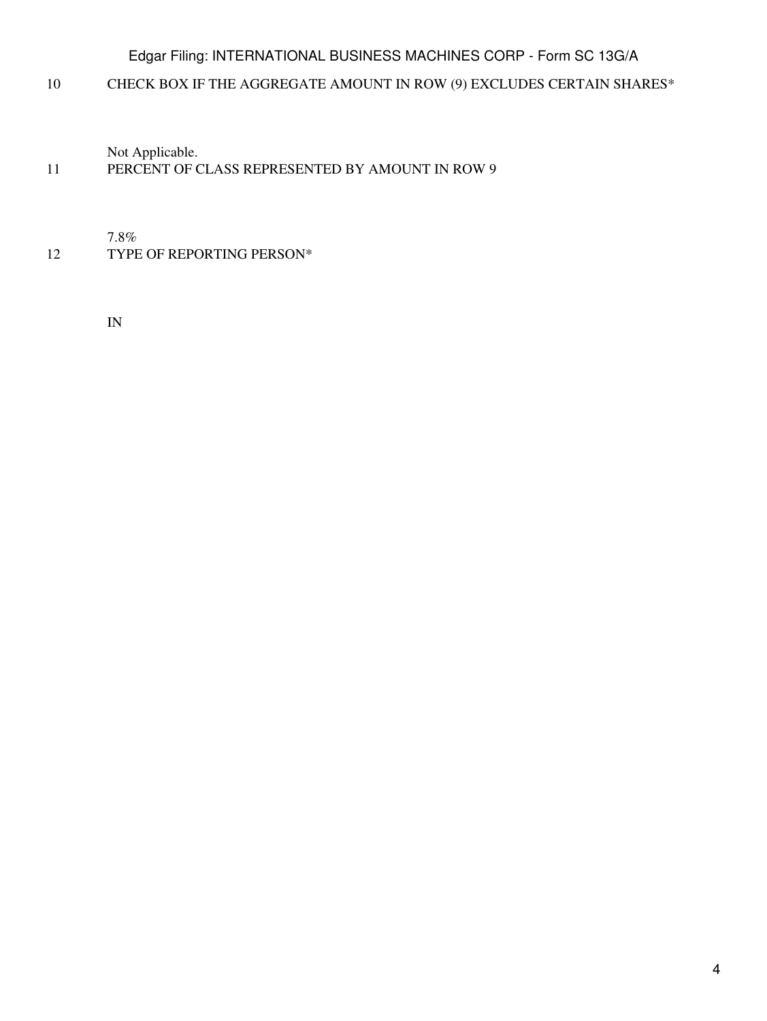10 CHECK BOX IF THE AGGREGATE AMOUNT IN ROW (9) EXCLUDES CERTAIN SHARES\*

Not Applicable.

## 11 PERCENT OF CLASS REPRESENTED BY AMOUNT IN ROW 9

7.8%

12 TYPE OF REPORTING PERSON\*

IN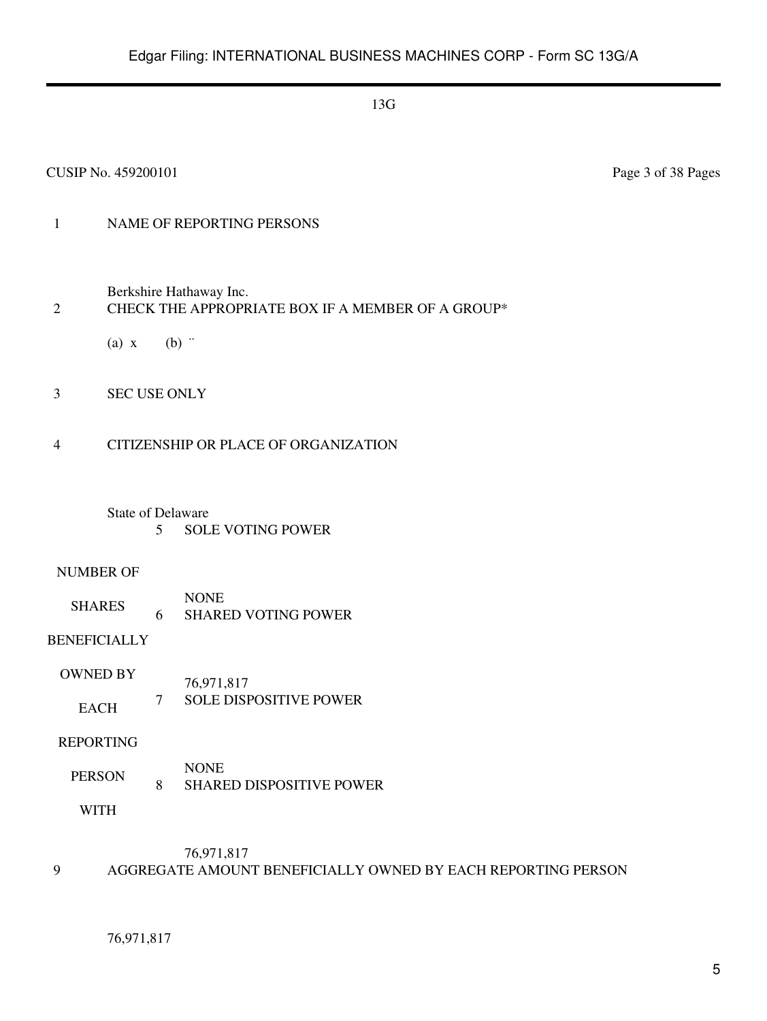#### CUSIP No. 459200101 Page 3 of 38 Pages

## 1 NAME OF REPORTING PERSONS

Berkshire Hathaway Inc.

#### 2 CHECK THE APPROPRIATE BOX IF A MEMBER OF A GROUP\*

(a)  $x$  (b)  $\dddot{ }$ 

3 SEC USE ONLY

#### 4 CITIZENSHIP OR PLACE OF ORGANIZATION

#### State of Delaware 5 SOLE VOTING POWER

#### NUMBER OF

SHARES NONE 6 SHARED VOTING POWER

## BENEFICIALLY

OWNED BY EACH 76,971,817 7 SOLE DISPOSITIVE POWER

#### REPORTING

PERSON NONE 8 SHARED DISPOSITIVE POWER

WITH

## 76,971,817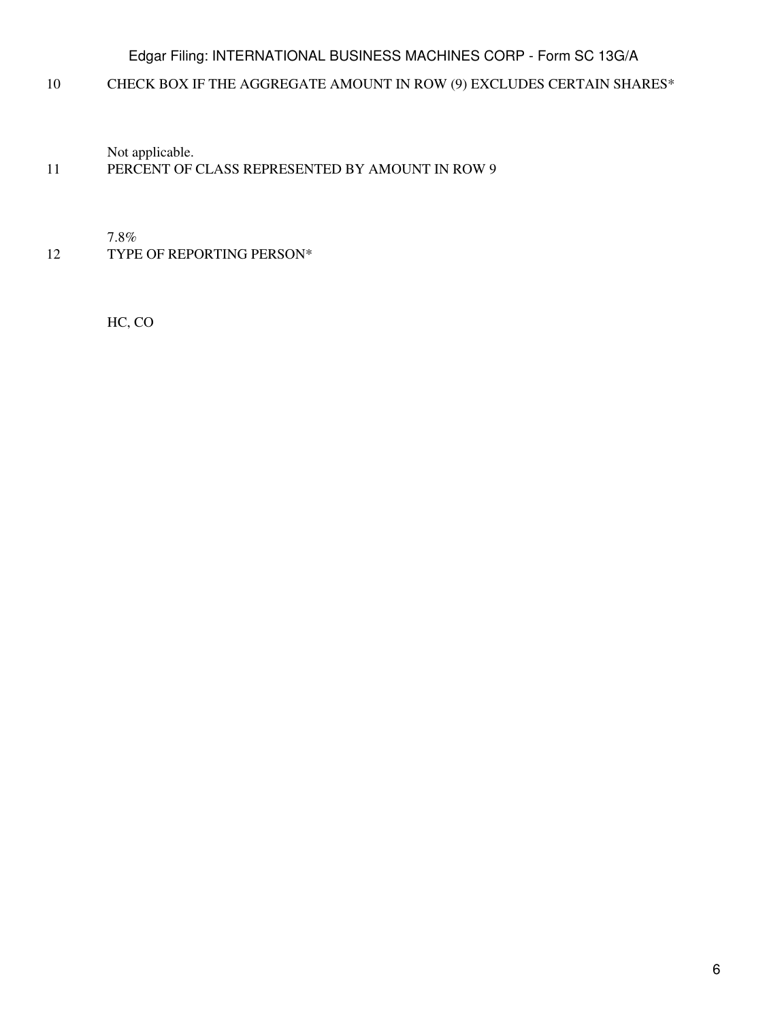10 CHECK BOX IF THE AGGREGATE AMOUNT IN ROW (9) EXCLUDES CERTAIN SHARES\*

Not applicable.

## 11 PERCENT OF CLASS REPRESENTED BY AMOUNT IN ROW 9

7.8%

12 TYPE OF REPORTING PERSON\*

HC, CO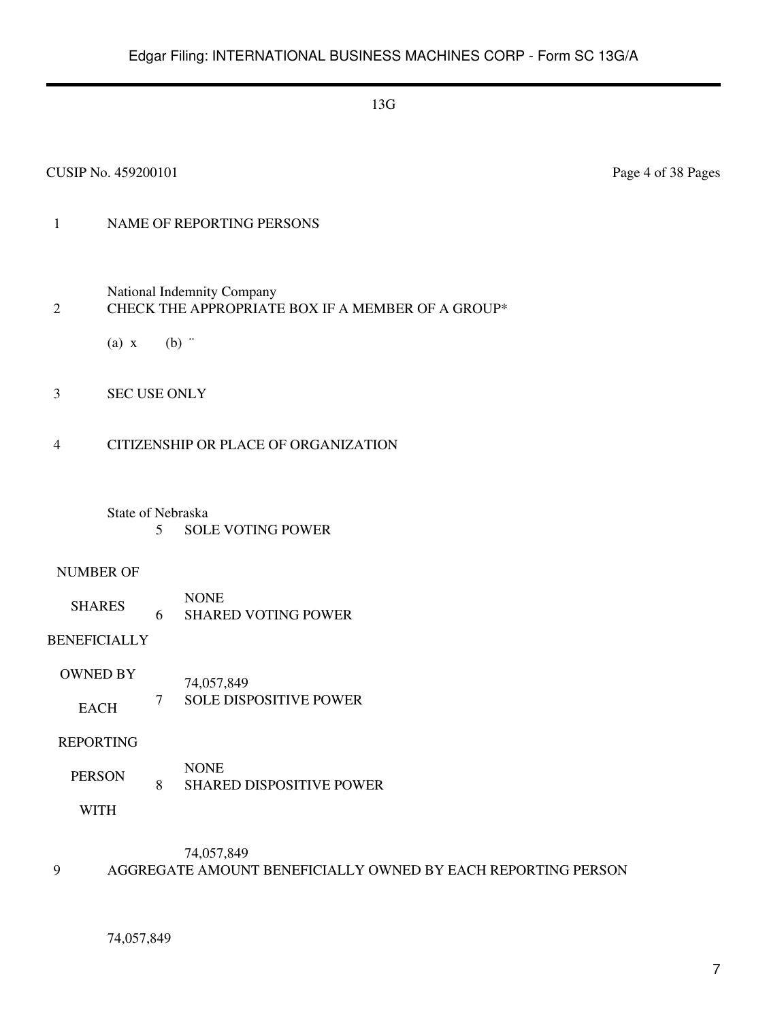#### CUSIP No. 459200101 Page 4 of 38 Pages

## 1 NAME OF REPORTING PERSONS

National Indemnity Company

#### 2 CHECK THE APPROPRIATE BOX IF A MEMBER OF A GROUP\*

(a)  $x$  (b)  $\dddot{ }$ 

3 SEC USE ONLY

#### 4 CITIZENSHIP OR PLACE OF ORGANIZATION

State of Nebraska 5 SOLE VOTING POWER

#### NUMBER OF

SHARES NONE 6 SHARED VOTING POWER

BENEFICIALLY

OWNED BY EACH 74,057,849 7 SOLE DISPOSITIVE POWER

#### REPORTING

PERSON NONE 8 SHARED DISPOSITIVE POWER

WITH

#### 74,057,849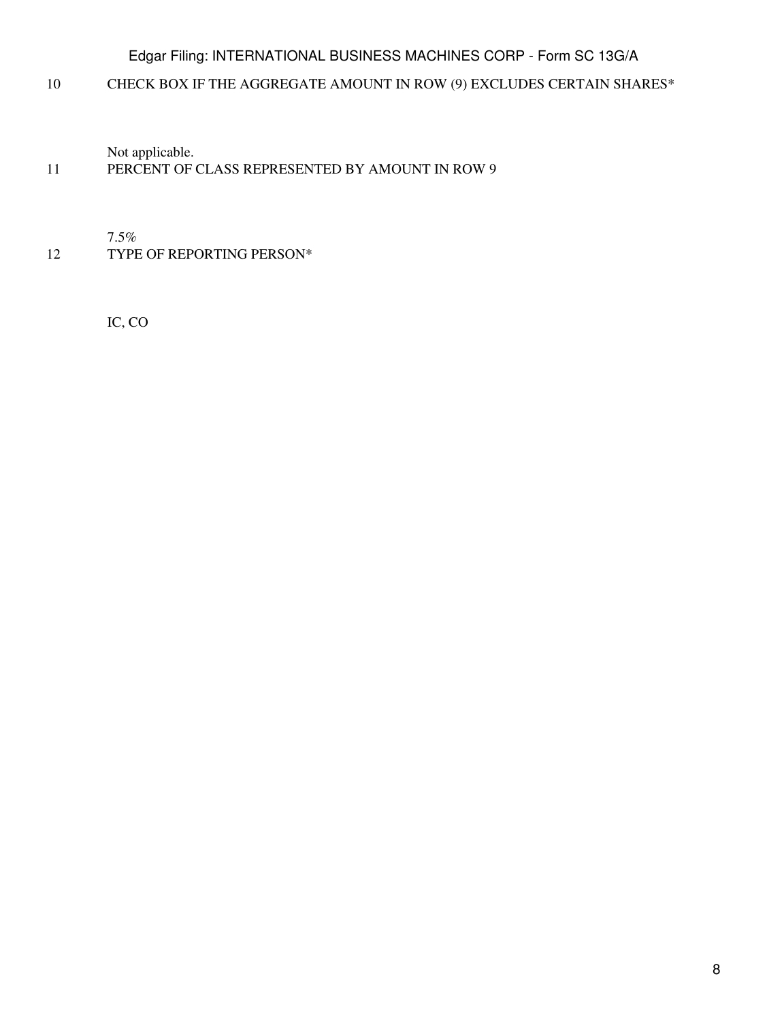10 CHECK BOX IF THE AGGREGATE AMOUNT IN ROW (9) EXCLUDES CERTAIN SHARES\*

Not applicable.

## 11 PERCENT OF CLASS REPRESENTED BY AMOUNT IN ROW 9

7.5%

12 TYPE OF REPORTING PERSON\*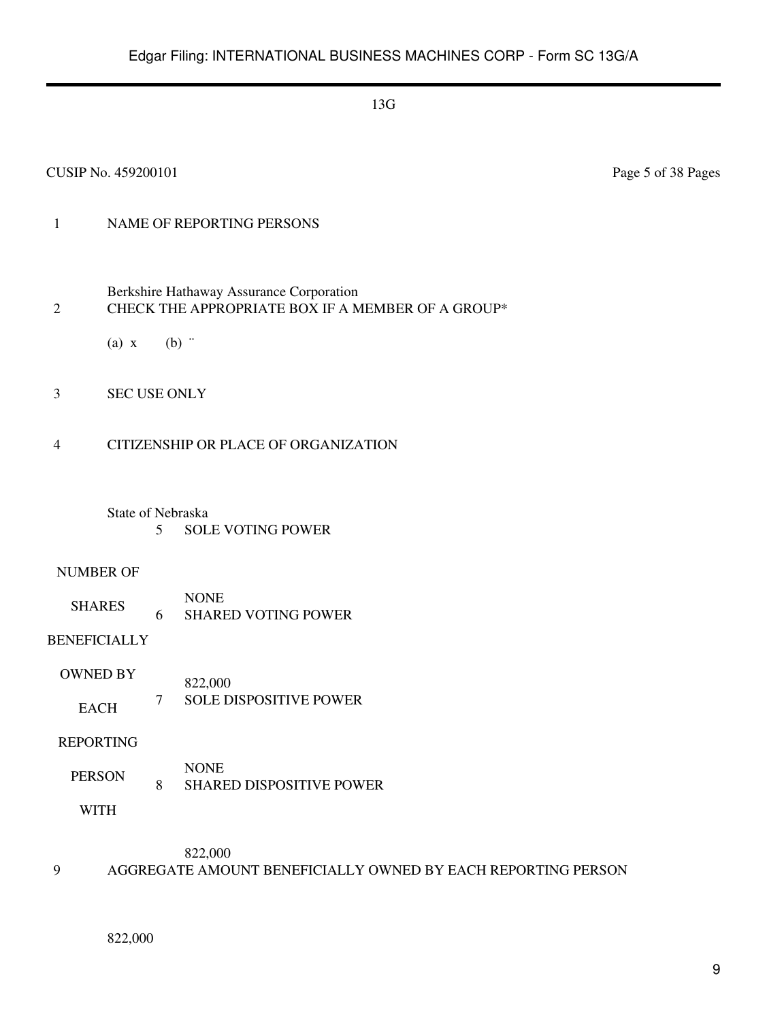## 1 NAME OF REPORTING PERSONS

- Berkshire Hathaway Assurance Corporation 2 CHECK THE APPROPRIATE BOX IF A MEMBER OF A GROUP\*
	- (a)  $x$  (b)  $\dddot{ }$
- 3 SEC USE ONLY
- 4 CITIZENSHIP OR PLACE OF ORGANIZATION
	- State of Nebraska 5 SOLE VOTING POWER

#### NUMBER OF

SHARES NONE 6 SHARED VOTING POWER

## BENEFICIALLY

OWNED BY EACH 822,000 7 SOLE DISPOSITIVE POWER

#### REPORTING

PERSON NONE 8 SHARED DISPOSITIVE POWER

WITH

822,000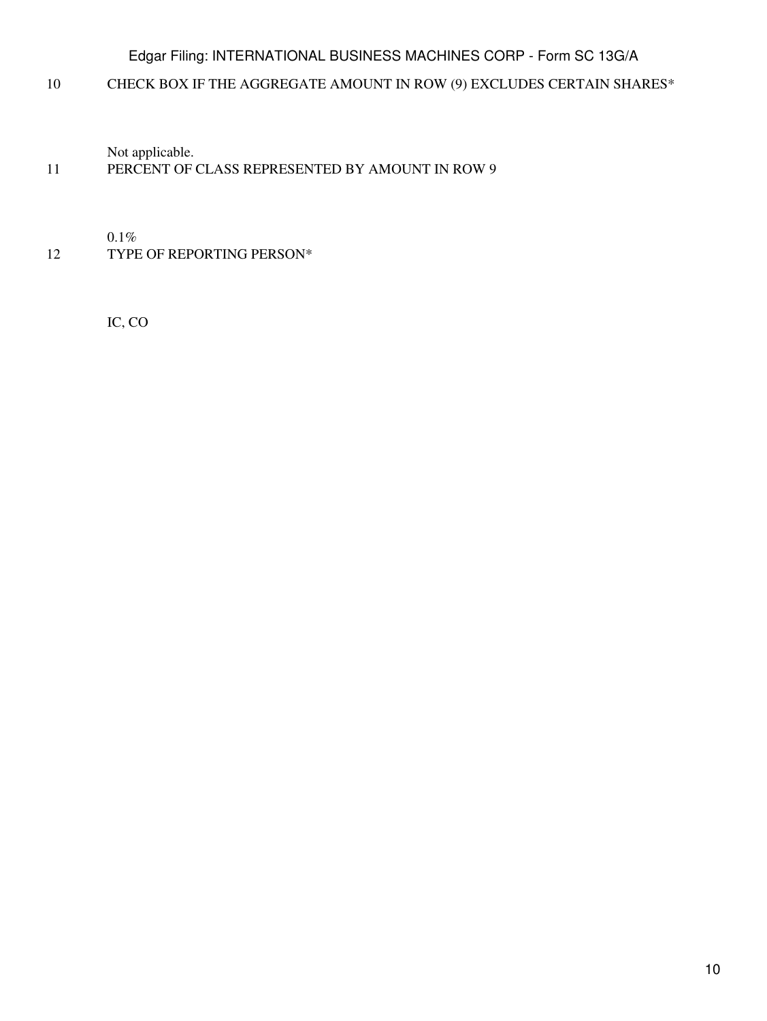10 CHECK BOX IF THE AGGREGATE AMOUNT IN ROW (9) EXCLUDES CERTAIN SHARES\*

Not applicable.

## 11 PERCENT OF CLASS REPRESENTED BY AMOUNT IN ROW 9

0.1%

12 TYPE OF REPORTING PERSON\*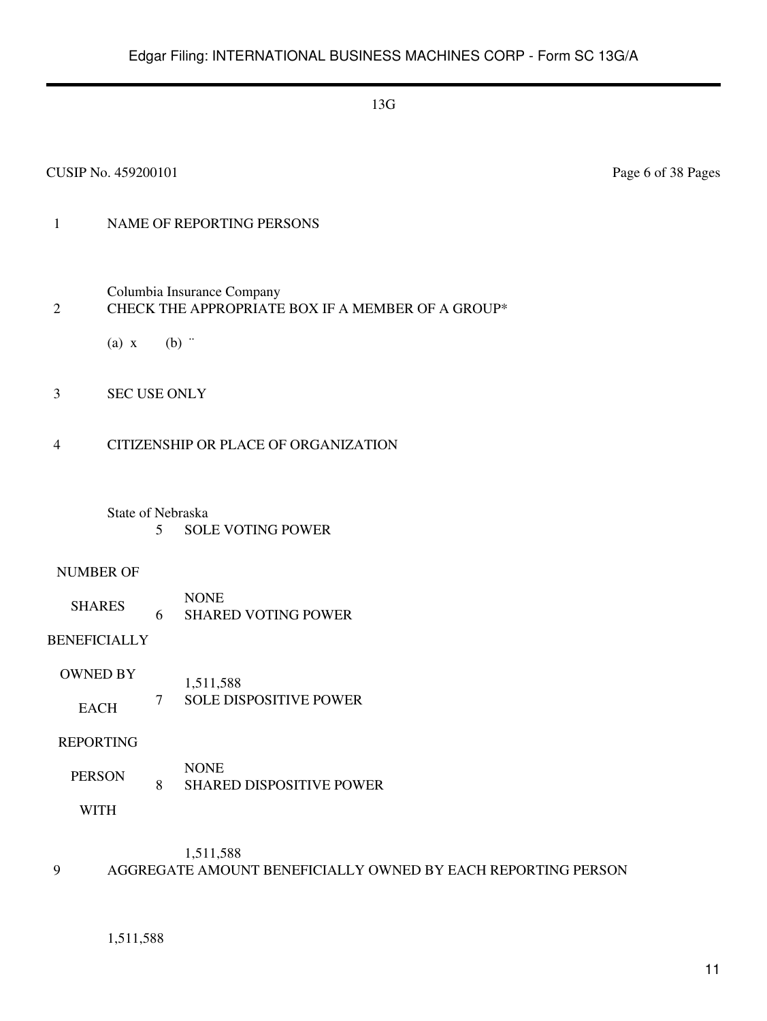#### CUSIP No. 459200101 Page 6 of 38 Pages

## 1 NAME OF REPORTING PERSONS

Columbia Insurance Company

#### 2 CHECK THE APPROPRIATE BOX IF A MEMBER OF A GROUP\*

(a)  $x$  (b)  $\dddot{ }$ 

3 SEC USE ONLY

#### 4 CITIZENSHIP OR PLACE OF ORGANIZATION

#### State of Nebraska 5 SOLE VOTING POWER

#### NUMBER OF

SHARES NONE 6 SHARED VOTING POWER

## BENEFICIALLY

OWNED BY EACH 1,511,588 7 SOLE DISPOSITIVE POWER

#### REPORTING

PERSON NONE 8 SHARED DISPOSITIVE POWER

WITH

## 1,511,588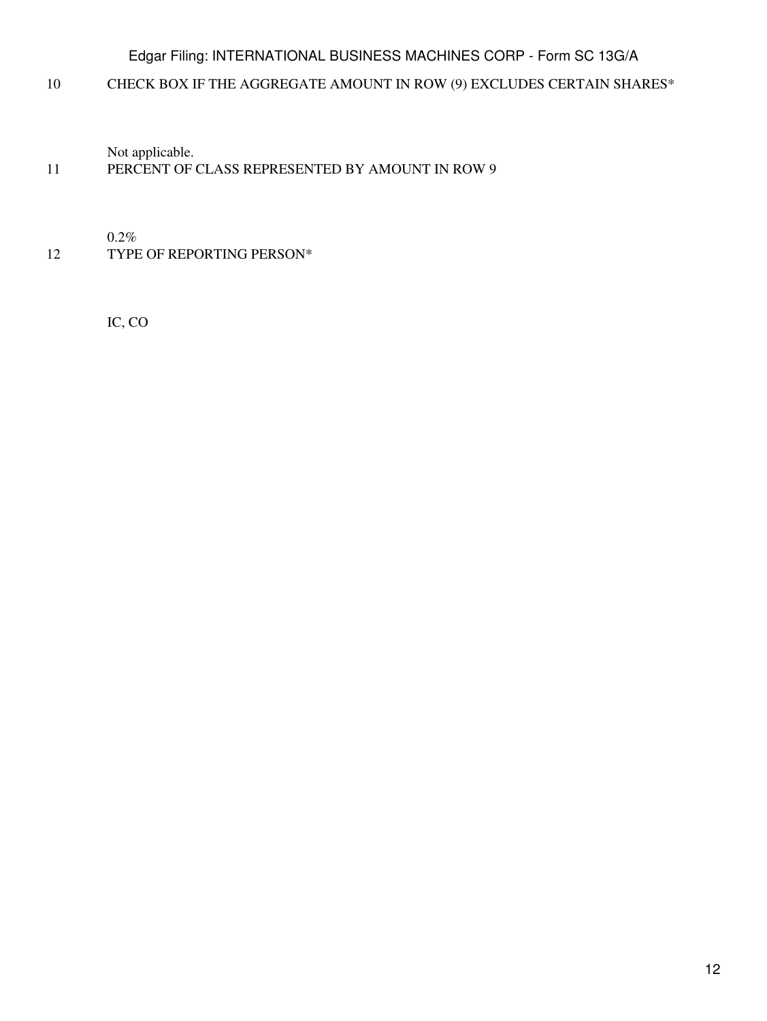10 CHECK BOX IF THE AGGREGATE AMOUNT IN ROW (9) EXCLUDES CERTAIN SHARES\*

Not applicable.

## 11 PERCENT OF CLASS REPRESENTED BY AMOUNT IN ROW 9

0.2%

12 TYPE OF REPORTING PERSON\*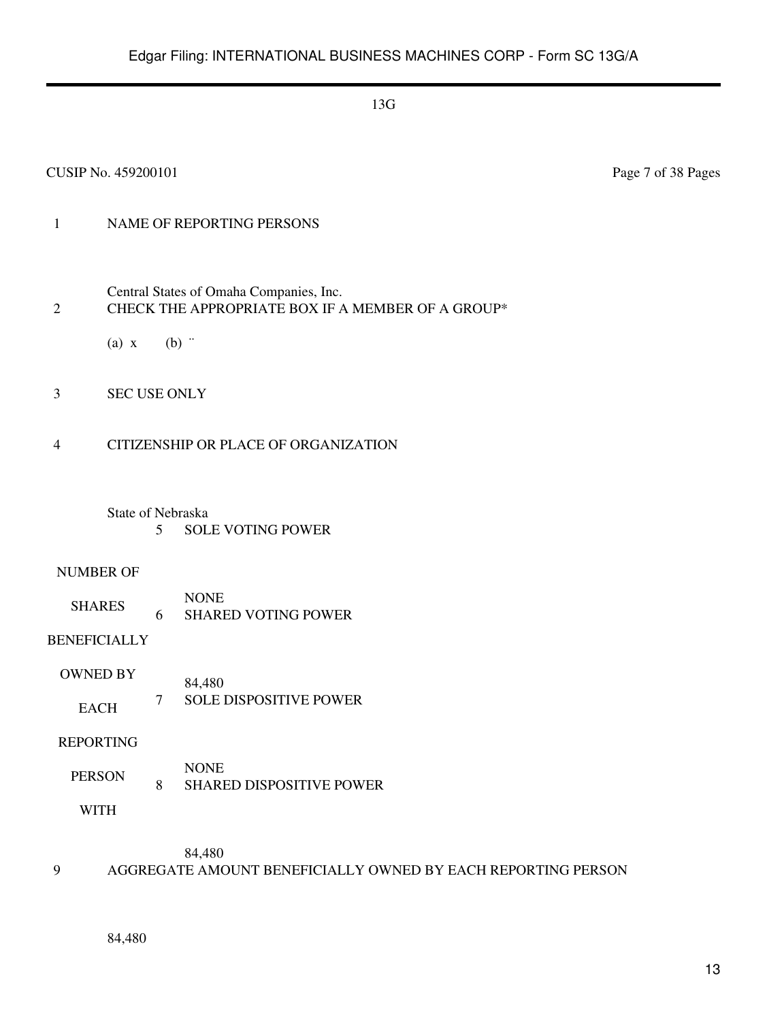#### CUSIP No. 459200101 Page 7 of 38 Pages

## 1 NAME OF REPORTING PERSONS

- Central States of Omaha Companies, Inc. 2 CHECK THE APPROPRIATE BOX IF A MEMBER OF A GROUP\*
	- (a)  $x$  (b)  $\dddot{ }$
- 3 SEC USE ONLY
- 4 CITIZENSHIP OR PLACE OF ORGANIZATION
	- State of Nebraska 5 SOLE VOTING POWER

#### NUMBER OF

SHARES NONE 6 SHARED VOTING POWER

## BENEFICIALLY

OWNED BY EACH 84,480 7 SOLE DISPOSITIVE POWER

#### REPORTING

PERSON NONE 8 SHARED DISPOSITIVE POWER

WITH

84,480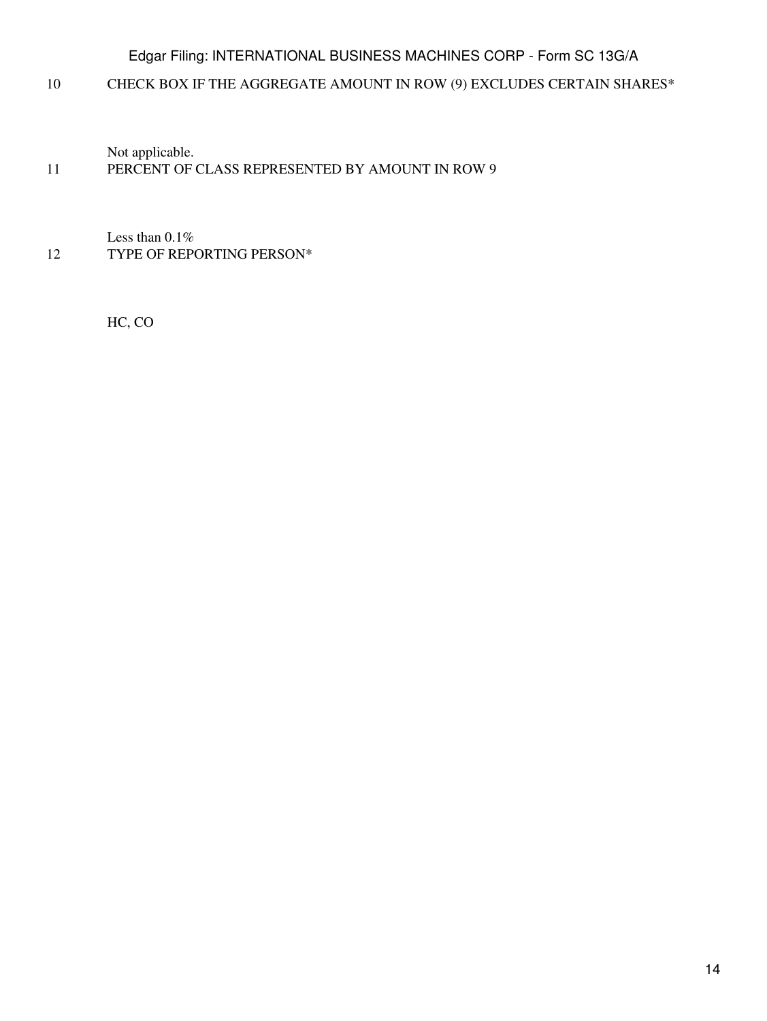10 CHECK BOX IF THE AGGREGATE AMOUNT IN ROW (9) EXCLUDES CERTAIN SHARES\*

Not applicable.

## 11 PERCENT OF CLASS REPRESENTED BY AMOUNT IN ROW 9

Less than 0.1% 12 TYPE OF REPORTING PERSON\*

HC, CO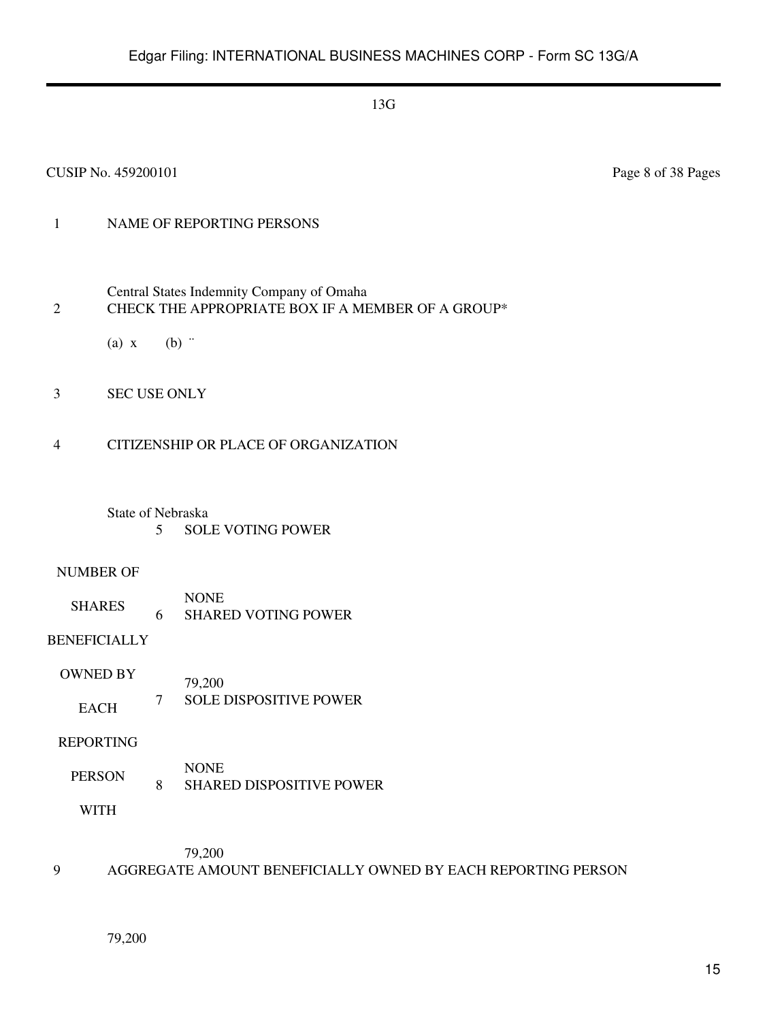## 1 NAME OF REPORTING PERSONS

- Central States Indemnity Company of Omaha 2 CHECK THE APPROPRIATE BOX IF A MEMBER OF A GROUP\*
	- (a)  $x$  (b)  $\dddot{ }$
- 3 SEC USE ONLY
- 4 CITIZENSHIP OR PLACE OF ORGANIZATION
	- State of Nebraska 5 SOLE VOTING POWER

#### NUMBER OF

SHARES NONE 6 SHARED VOTING POWER

## BENEFICIALLY

OWNED BY EACH 79,200 7 SOLE DISPOSITIVE POWER

#### REPORTING

PERSON NONE 8 SHARED DISPOSITIVE POWER

WITH

79,200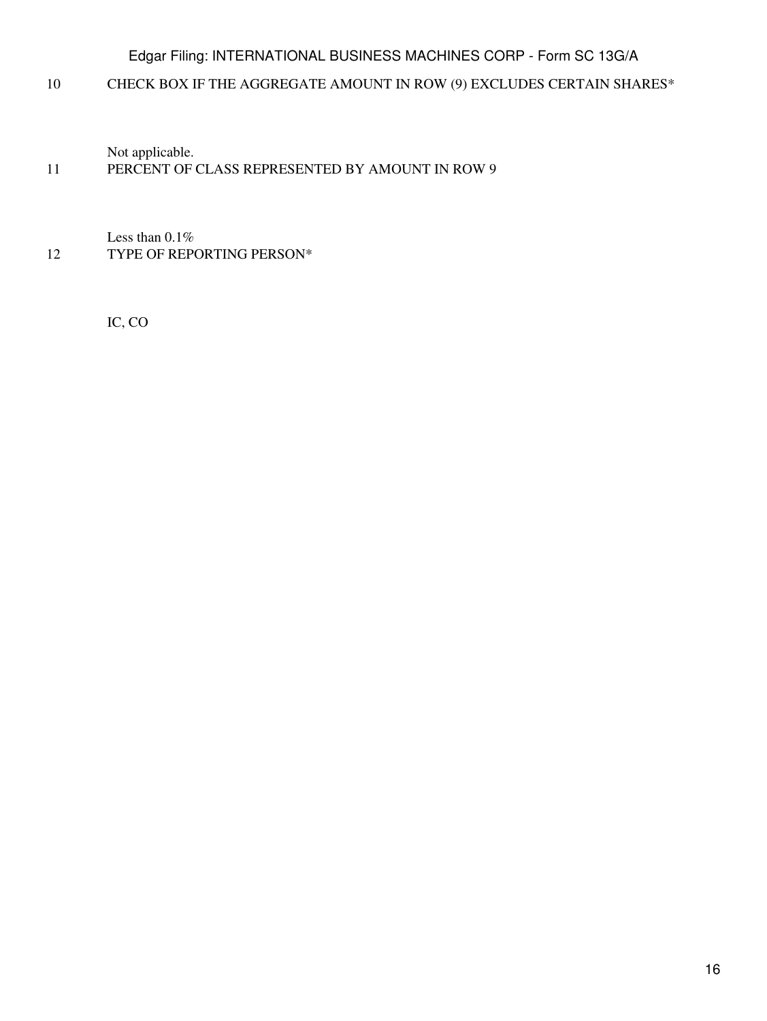10 CHECK BOX IF THE AGGREGATE AMOUNT IN ROW (9) EXCLUDES CERTAIN SHARES\*

Not applicable.

## 11 PERCENT OF CLASS REPRESENTED BY AMOUNT IN ROW 9

Less than 0.1% 12 TYPE OF REPORTING PERSON\*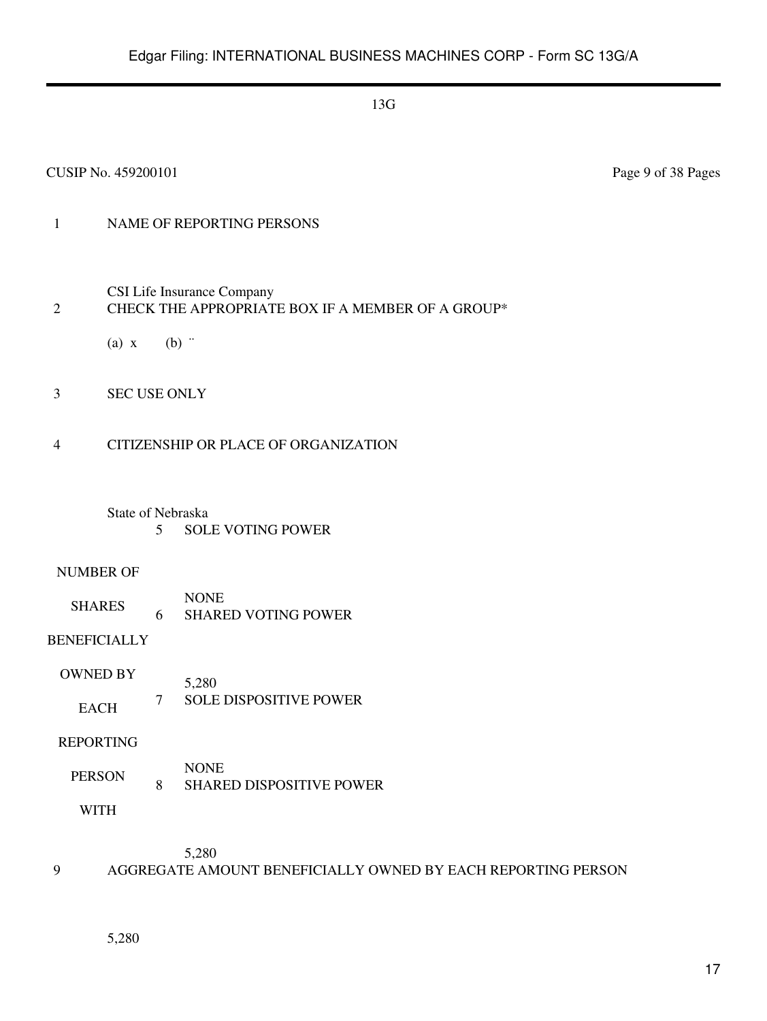#### CUSIP No. 459200101 Page 9 of 38 Pages

## 1 NAME OF REPORTING PERSONS

CSI Life Insurance Company

#### 2 CHECK THE APPROPRIATE BOX IF A MEMBER OF A GROUP\*

(a)  $x$  (b)  $\dddot{ }$ 

3 SEC USE ONLY

#### 4 CITIZENSHIP OR PLACE OF ORGANIZATION

State of Nebraska 5 SOLE VOTING POWER

#### NUMBER OF

SHARES NONE 6 SHARED VOTING POWER

BENEFICIALLY

OWNED BY EACH 5,280 7 SOLE DISPOSITIVE POWER

REPORTING

PERSON NONE 8 SHARED DISPOSITIVE POWER

WITH

5,280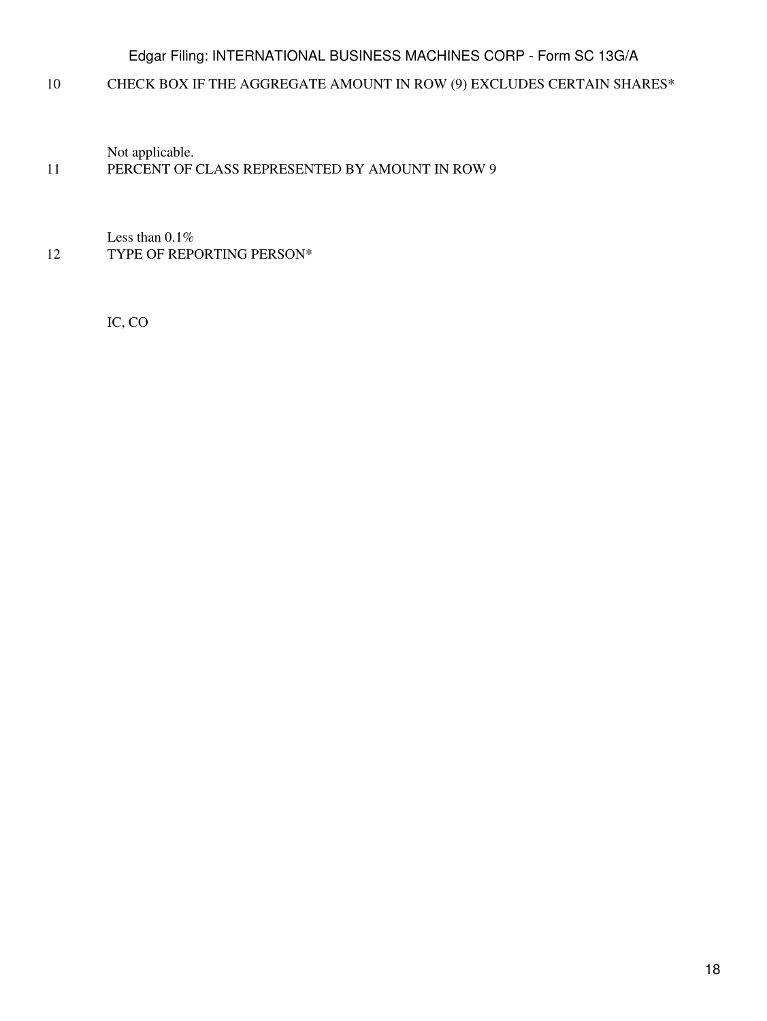10 CHECK BOX IF THE AGGREGATE AMOUNT IN ROW (9) EXCLUDES CERTAIN SHARES\*

Not applicable.

## 11 PERCENT OF CLASS REPRESENTED BY AMOUNT IN ROW 9

Less than 0.1% 12 TYPE OF REPORTING PERSON\*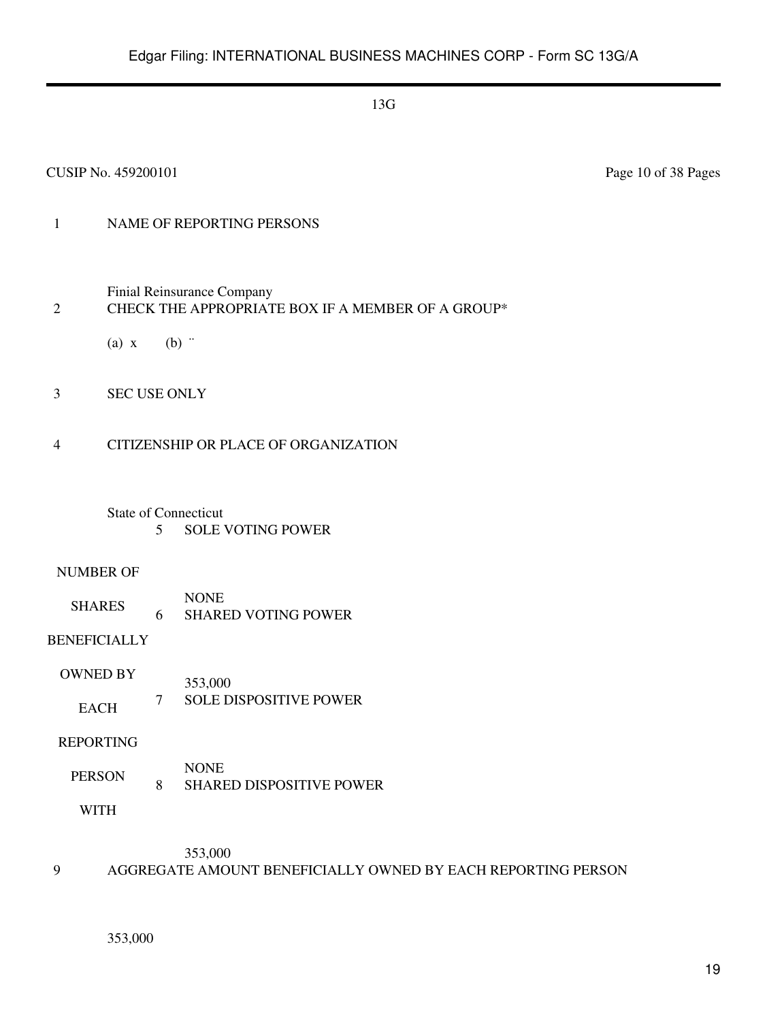#### CUSIP No. 459200101 Page 10 of 38 Pages

## 1 NAME OF REPORTING PERSONS

Finial Reinsurance Company

## 2 CHECK THE APPROPRIATE BOX IF A MEMBER OF A GROUP\*

(a)  $x$  (b)  $\dddot{ }$ 

3 SEC USE ONLY

#### 4 CITIZENSHIP OR PLACE OF ORGANIZATION

State of Connecticut 5 SOLE VOTING POWER

#### NUMBER OF

SHARES NONE 6 SHARED VOTING POWER

## BENEFICIALLY

OWNED BY EACH 353,000 7 SOLE DISPOSITIVE POWER

#### REPORTING

PERSON NONE 8 SHARED DISPOSITIVE POWER

WITH

353,000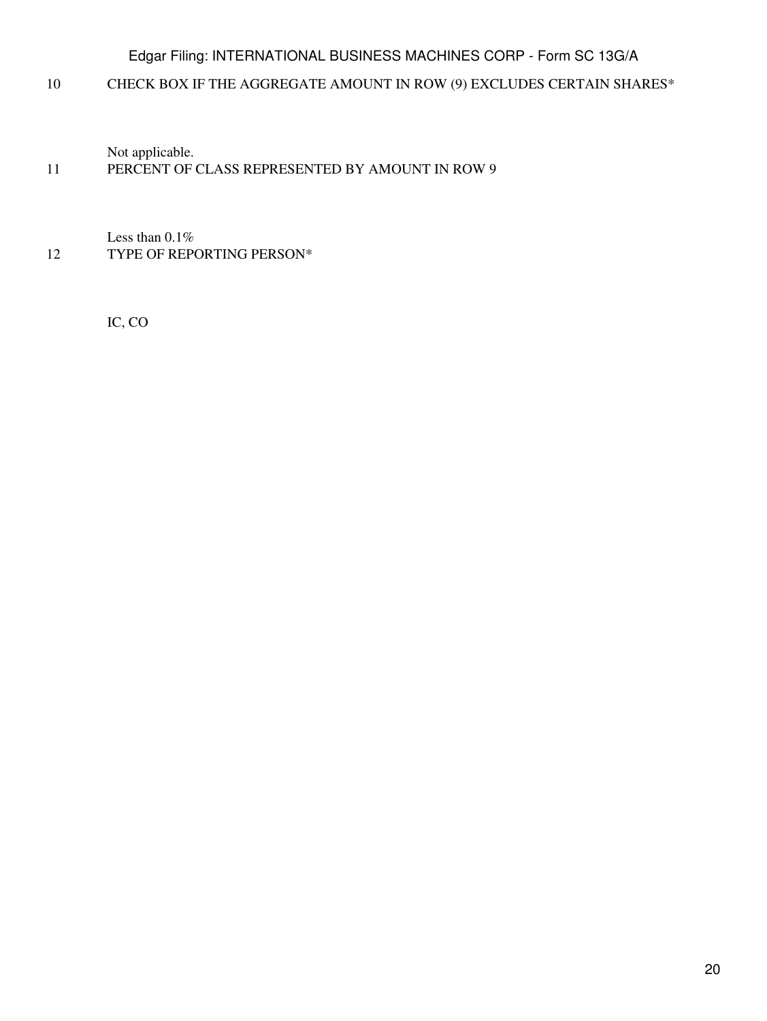10 CHECK BOX IF THE AGGREGATE AMOUNT IN ROW (9) EXCLUDES CERTAIN SHARES\*

Not applicable.

## 11 PERCENT OF CLASS REPRESENTED BY AMOUNT IN ROW 9

Less than 0.1% 12 TYPE OF REPORTING PERSON\*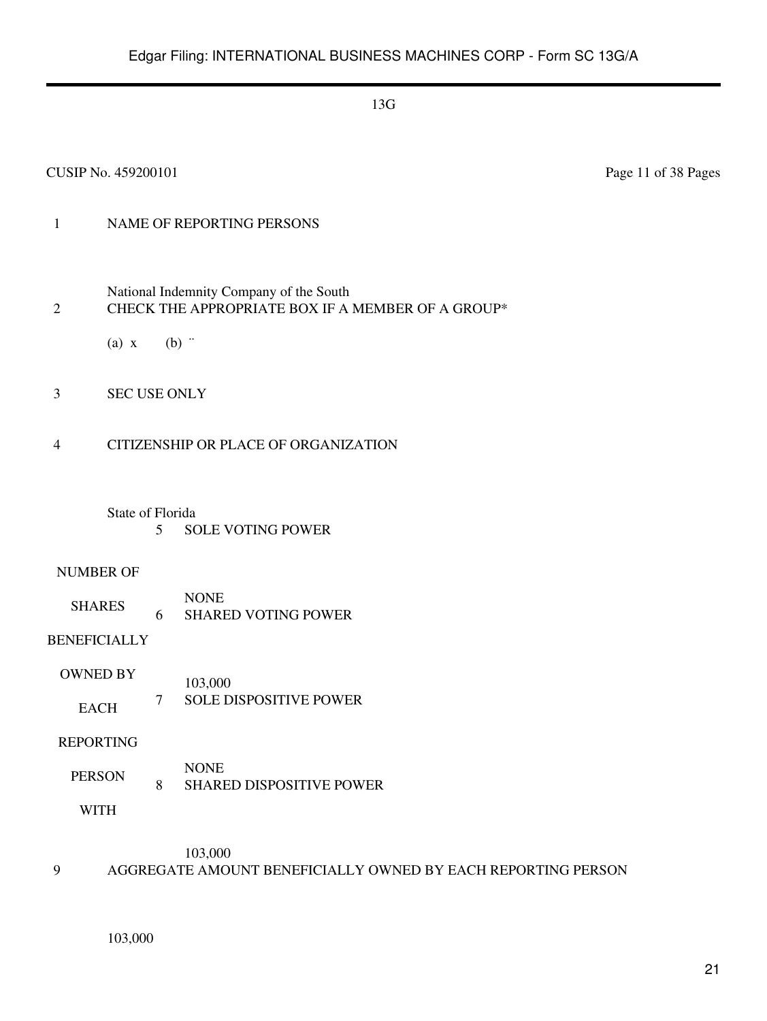## 1 NAME OF REPORTING PERSONS

- National Indemnity Company of the South 2 CHECK THE APPROPRIATE BOX IF A MEMBER OF A GROUP\*
	- (a)  $x$  (b)  $\dddot{ }$
- 3 SEC USE ONLY
- 4 CITIZENSHIP OR PLACE OF ORGANIZATION
	- State of Florida
		- 5 SOLE VOTING POWER

#### NUMBER OF

SHARES NONE 6 SHARED VOTING POWER

BENEFICIALLY

OWNED BY EACH 103,000 7 SOLE DISPOSITIVE POWER

REPORTING

PERSON NONE 8 SHARED DISPOSITIVE POWER

WITH

103,000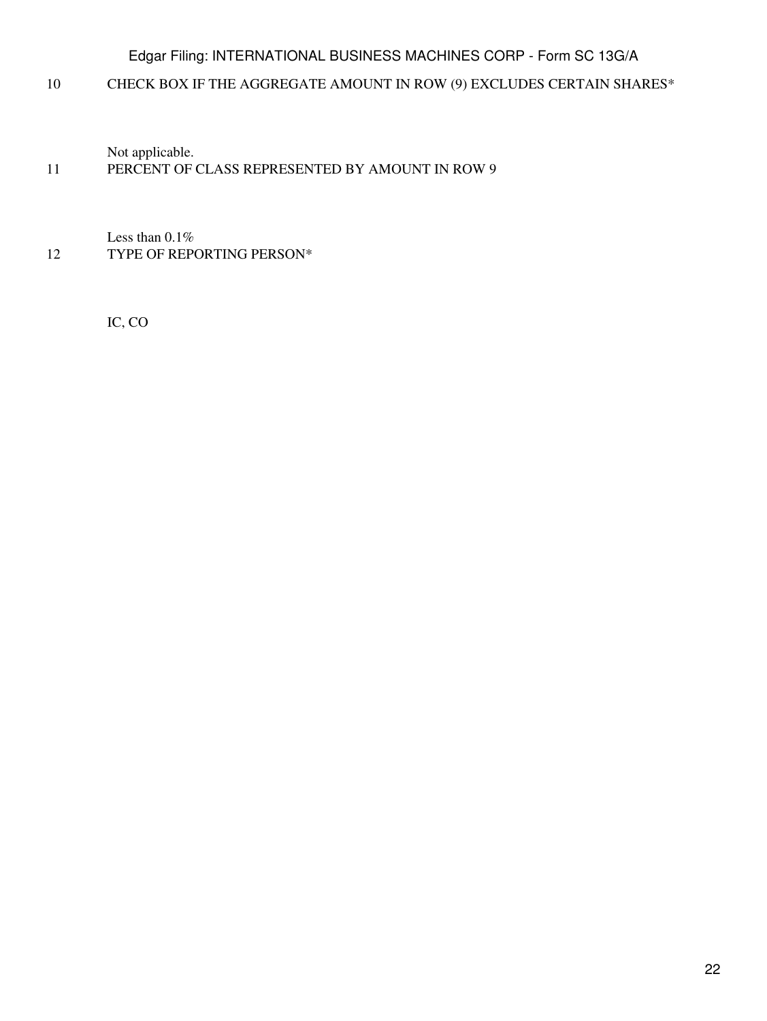10 CHECK BOX IF THE AGGREGATE AMOUNT IN ROW (9) EXCLUDES CERTAIN SHARES\*

Not applicable.

## 11 PERCENT OF CLASS REPRESENTED BY AMOUNT IN ROW 9

Less than 0.1% 12 TYPE OF REPORTING PERSON\*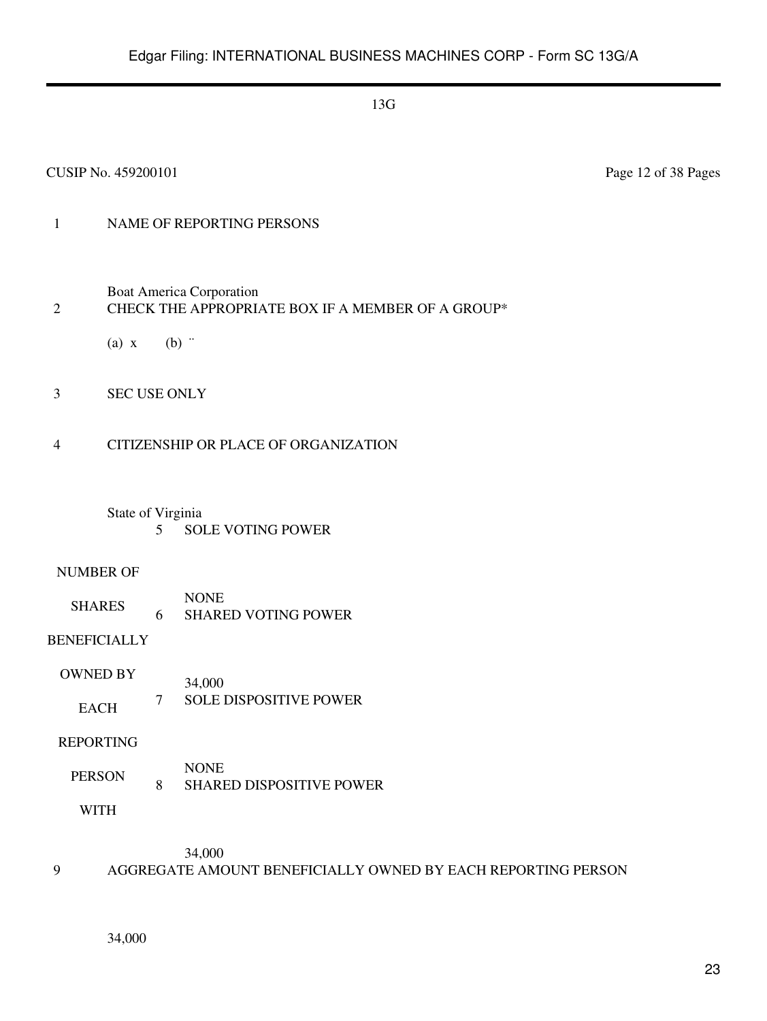#### CUSIP No. 459200101 Page 12 of 38 Pages

## 1 NAME OF REPORTING PERSONS

Boat America Corporation

## 2 CHECK THE APPROPRIATE BOX IF A MEMBER OF A GROUP\*

(a)  $x$  (b)  $\dddot{ }$ 

3 SEC USE ONLY

#### 4 CITIZENSHIP OR PLACE OF ORGANIZATION

State of Virginia 5 SOLE VOTING POWER

#### NUMBER OF

SHARES NONE 6 SHARED VOTING POWER

BENEFICIALLY

OWNED BY EACH 34,000 7 SOLE DISPOSITIVE POWER

REPORTING

PERSON NONE 8 SHARED DISPOSITIVE POWER

WITH

34,000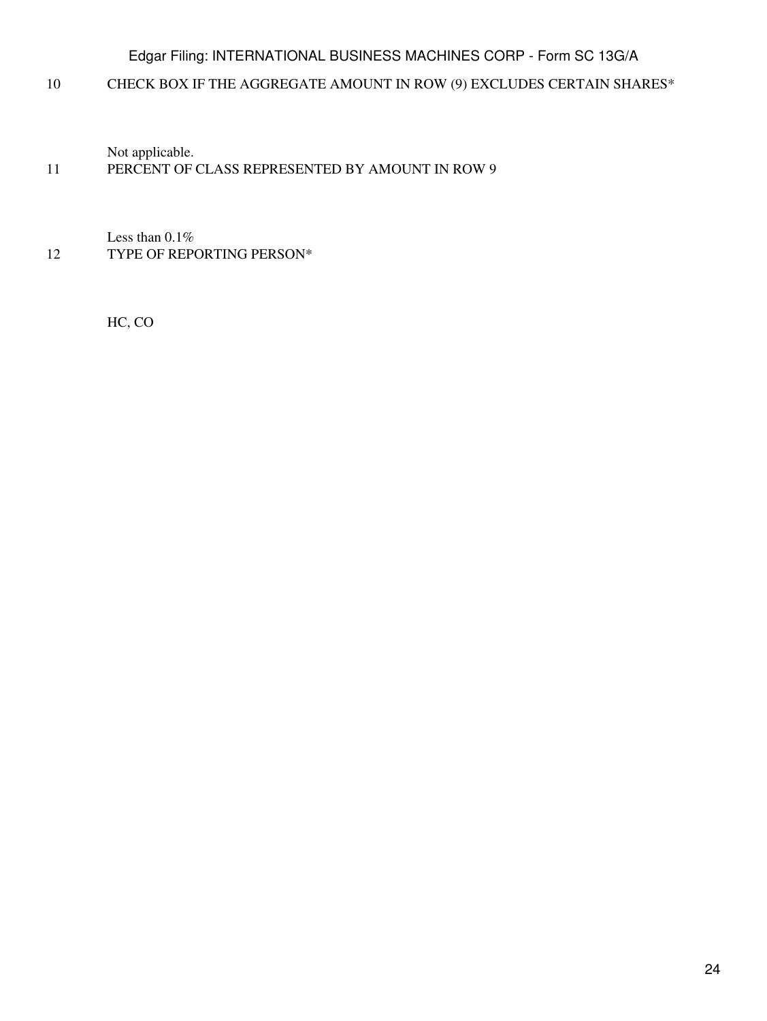10 CHECK BOX IF THE AGGREGATE AMOUNT IN ROW (9) EXCLUDES CERTAIN SHARES\*

Not applicable.

## 11 PERCENT OF CLASS REPRESENTED BY AMOUNT IN ROW 9

Less than 0.1% 12 TYPE OF REPORTING PERSON\*

HC, CO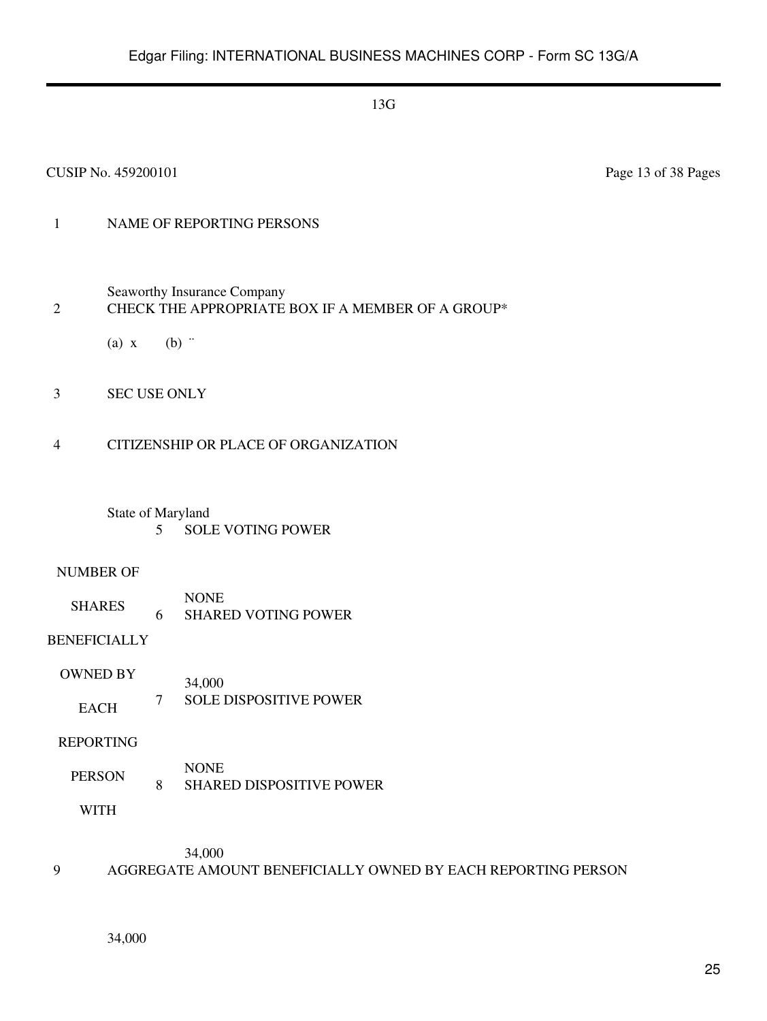#### CUSIP No. 459200101 Page 13 of 38 Pages

## 1 NAME OF REPORTING PERSONS

Seaworthy Insurance Company

## 2 CHECK THE APPROPRIATE BOX IF A MEMBER OF A GROUP\*

- (a)  $x$  (b)  $\dddot{ }$
- 3 SEC USE ONLY

#### 4 CITIZENSHIP OR PLACE OF ORGANIZATION

#### State of Maryland 5 SOLE VOTING POWER

#### NUMBER OF

SHARES NONE 6 SHARED VOTING POWER

## BENEFICIALLY

OWNED BY EACH 34,000 7 SOLE DISPOSITIVE POWER

#### REPORTING

PERSON NONE 8 SHARED DISPOSITIVE POWER

WITH

34,000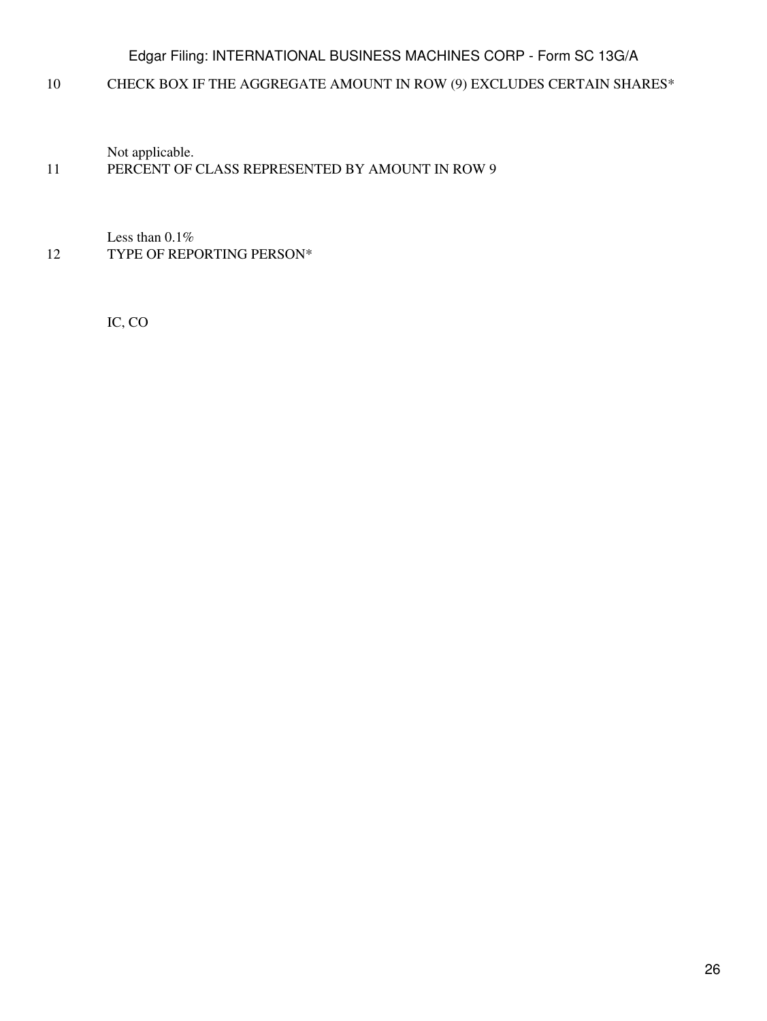10 CHECK BOX IF THE AGGREGATE AMOUNT IN ROW (9) EXCLUDES CERTAIN SHARES\*

Not applicable.

## 11 PERCENT OF CLASS REPRESENTED BY AMOUNT IN ROW 9

Less than 0.1% 12 TYPE OF REPORTING PERSON\*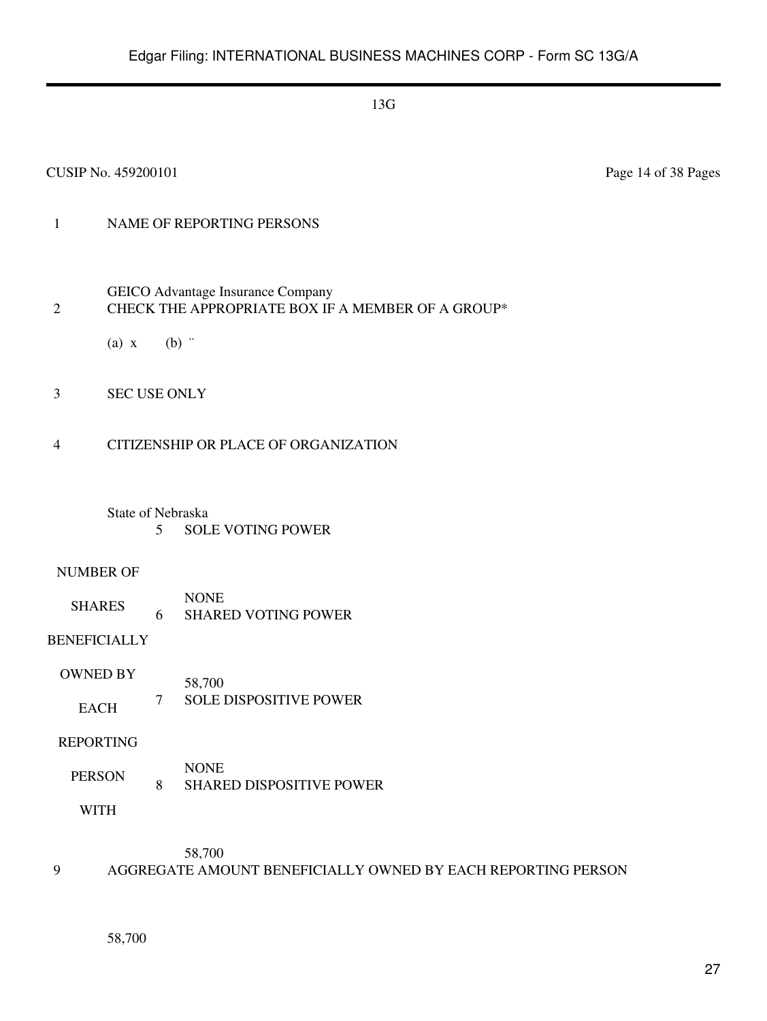#### CUSIP No. 459200101 Page 14 of 38 Pages

## 1 NAME OF REPORTING PERSONS

#### GEICO Advantage Insurance Company 2 CHECK THE APPROPRIATE BOX IF A MEMBER OF A GROUP\*

- (a)  $x$  (b)  $\dddot{ }$
- 3 SEC USE ONLY

#### 4 CITIZENSHIP OR PLACE OF ORGANIZATION

#### State of Nebraska 5 SOLE VOTING POWER

#### NUMBER OF

SHARES NONE 6 SHARED VOTING POWER

## BENEFICIALLY

OWNED BY EACH 58,700 7 SOLE DISPOSITIVE POWER

#### REPORTING

PERSON NONE 8 SHARED DISPOSITIVE POWER

WITH

58,700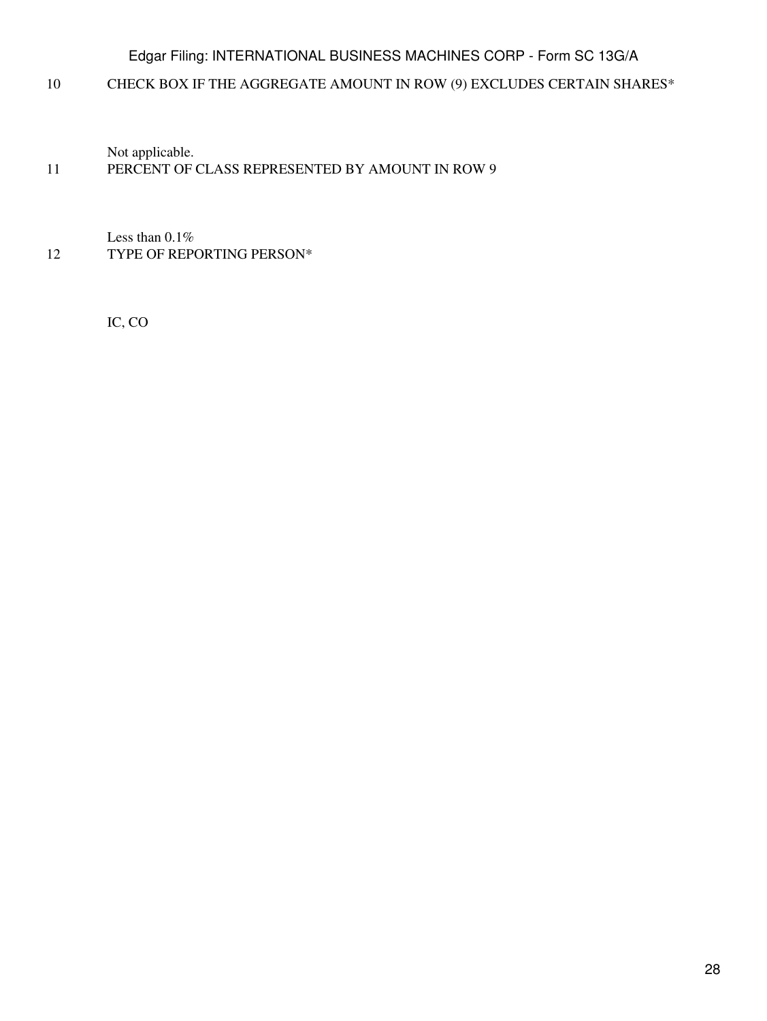10 CHECK BOX IF THE AGGREGATE AMOUNT IN ROW (9) EXCLUDES CERTAIN SHARES\*

Not applicable.

## 11 PERCENT OF CLASS REPRESENTED BY AMOUNT IN ROW 9

Less than 0.1% 12 TYPE OF REPORTING PERSON\*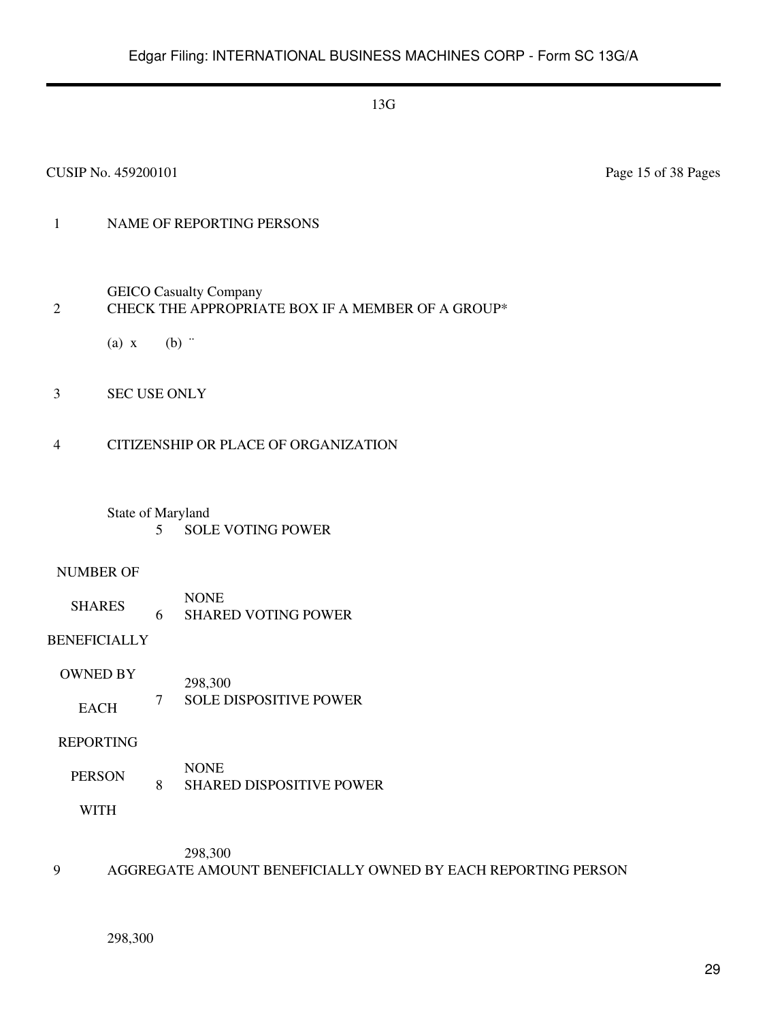#### CUSIP No. 459200101 Page 15 of 38 Pages

## 1 NAME OF REPORTING PERSONS

GEICO Casualty Company

## 2 CHECK THE APPROPRIATE BOX IF A MEMBER OF A GROUP\*

(a)  $x$  (b)  $\dddot{ }$ 

3 SEC USE ONLY

#### 4 CITIZENSHIP OR PLACE OF ORGANIZATION

State of Maryland 5 SOLE VOTING POWER

#### NUMBER OF

SHARES NONE 6 SHARED VOTING POWER

BENEFICIALLY

OWNED BY EACH 298,300 7 SOLE DISPOSITIVE POWER

REPORTING

PERSON NONE 8 SHARED DISPOSITIVE POWER

WITH

298,300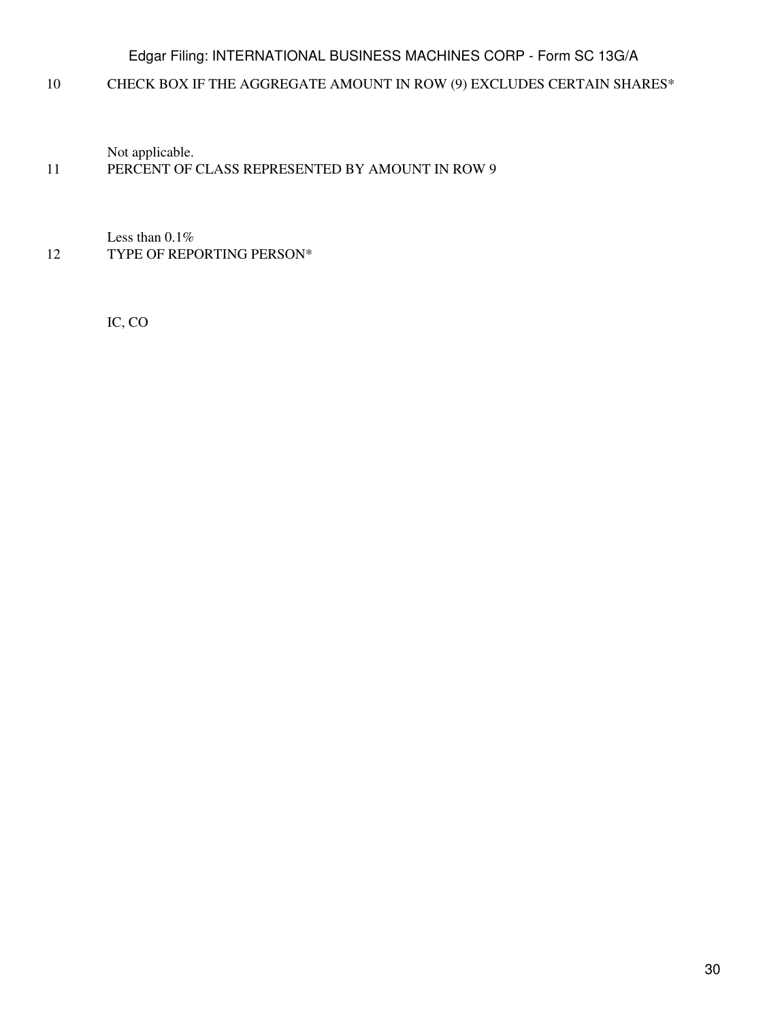10 CHECK BOX IF THE AGGREGATE AMOUNT IN ROW (9) EXCLUDES CERTAIN SHARES\*

Not applicable.

## 11 PERCENT OF CLASS REPRESENTED BY AMOUNT IN ROW 9

Less than 0.1% 12 TYPE OF REPORTING PERSON\*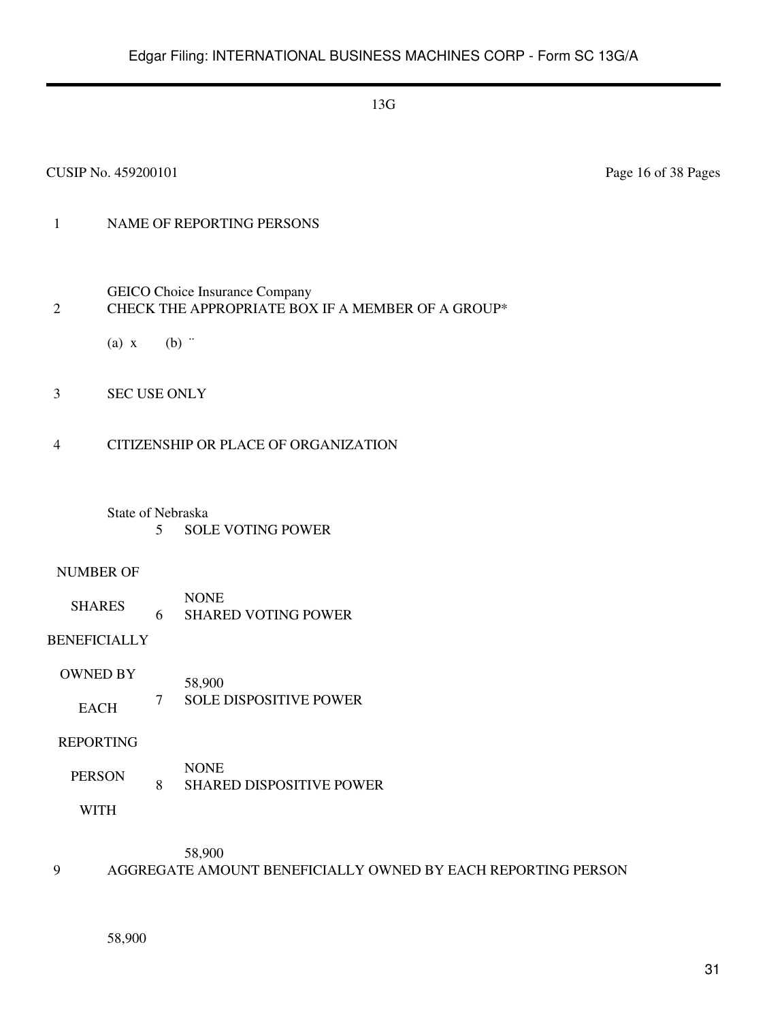#### CUSIP No. 459200101 Page 16 of 38 Pages

## 1 NAME OF REPORTING PERSONS

- GEICO Choice Insurance Company 2 CHECK THE APPROPRIATE BOX IF A MEMBER OF A GROUP\*
	- (a)  $x$  (b)  $\dddot{ }$
- 3 SEC USE ONLY
- 4 CITIZENSHIP OR PLACE OF ORGANIZATION
	- State of Nebraska 5 SOLE VOTING POWER

#### NUMBER OF

SHARES NONE 6 SHARED VOTING POWER

## BENEFICIALLY

OWNED BY EACH 58,900 7 SOLE DISPOSITIVE POWER

#### REPORTING

PERSON NONE 8 SHARED DISPOSITIVE POWER

WITH

58,900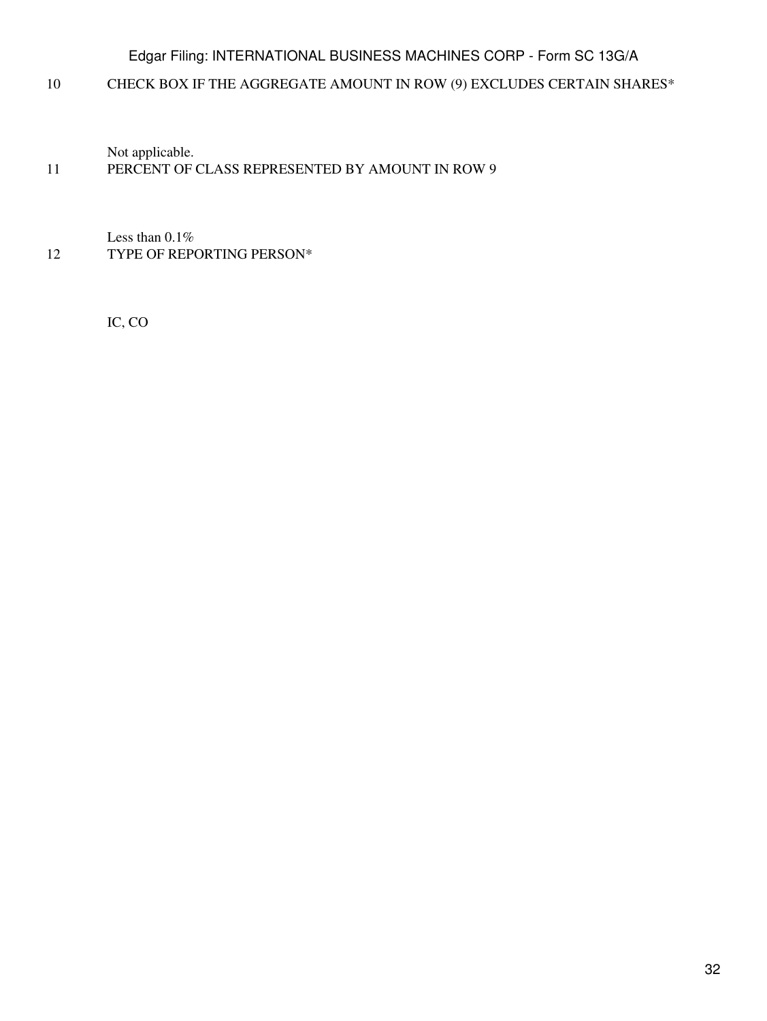10 CHECK BOX IF THE AGGREGATE AMOUNT IN ROW (9) EXCLUDES CERTAIN SHARES\*

Not applicable.

## 11 PERCENT OF CLASS REPRESENTED BY AMOUNT IN ROW 9

Less than 0.1% 12 TYPE OF REPORTING PERSON\*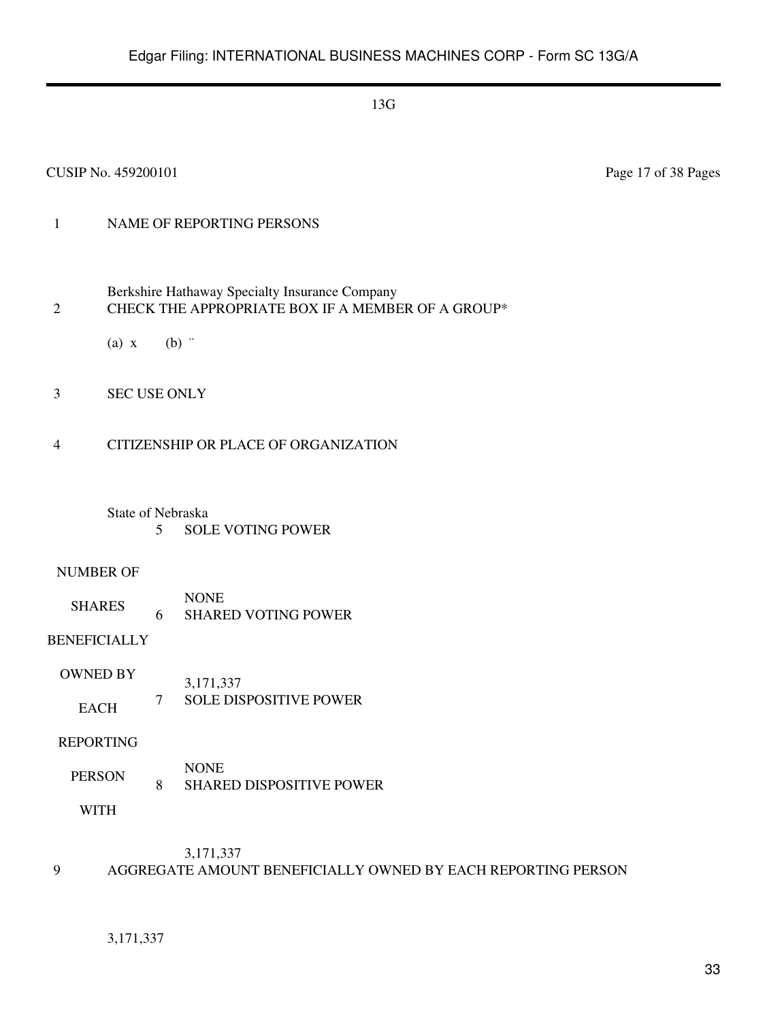#### CUSIP No. 459200101 Page 17 of 38 Pages

## 1 NAME OF REPORTING PERSONS

- Berkshire Hathaway Specialty Insurance Company 2 CHECK THE APPROPRIATE BOX IF A MEMBER OF A GROUP\*
	- (a)  $x$  (b)  $\dddot{ }$
- 3 SEC USE ONLY

#### 4 CITIZENSHIP OR PLACE OF ORGANIZATION

State of Nebraska 5 SOLE VOTING POWER

#### NUMBER OF

SHARES NONE 6 SHARED VOTING POWER

## BENEFICIALLY

OWNED BY EACH 3,171,337 7 SOLE DISPOSITIVE POWER

#### REPORTING

PERSON NONE 8 SHARED DISPOSITIVE POWER

WITH

#### 3,171,337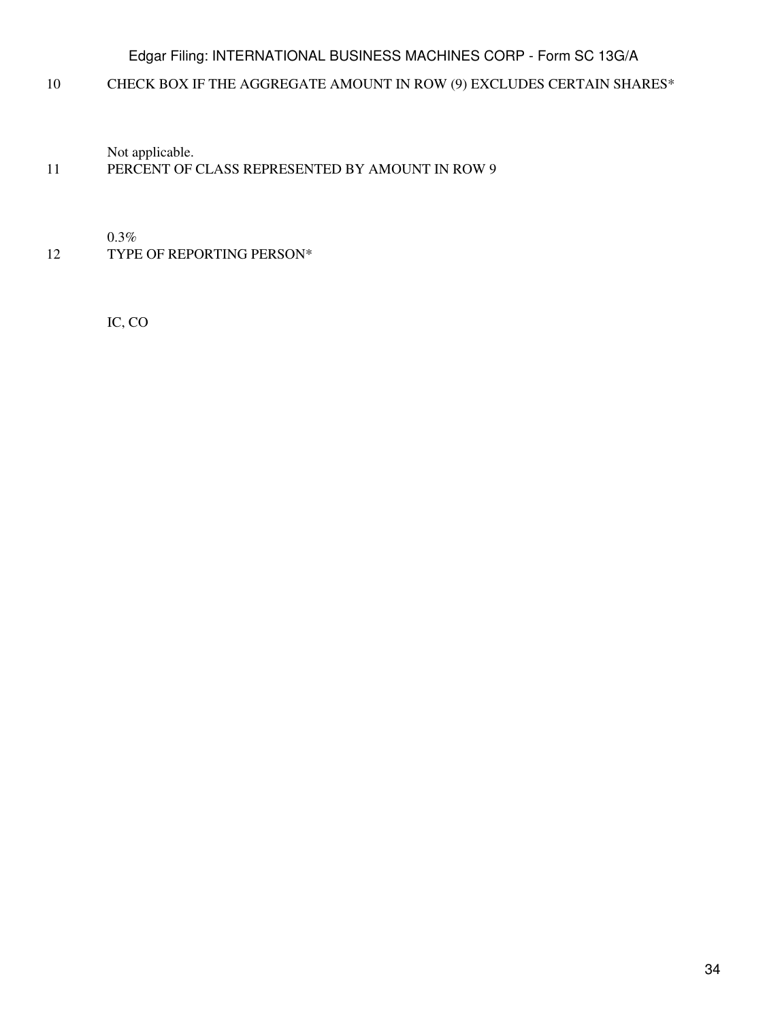10 CHECK BOX IF THE AGGREGATE AMOUNT IN ROW (9) EXCLUDES CERTAIN SHARES\*

Not applicable.

## 11 PERCENT OF CLASS REPRESENTED BY AMOUNT IN ROW 9

0.3%

12 TYPE OF REPORTING PERSON\*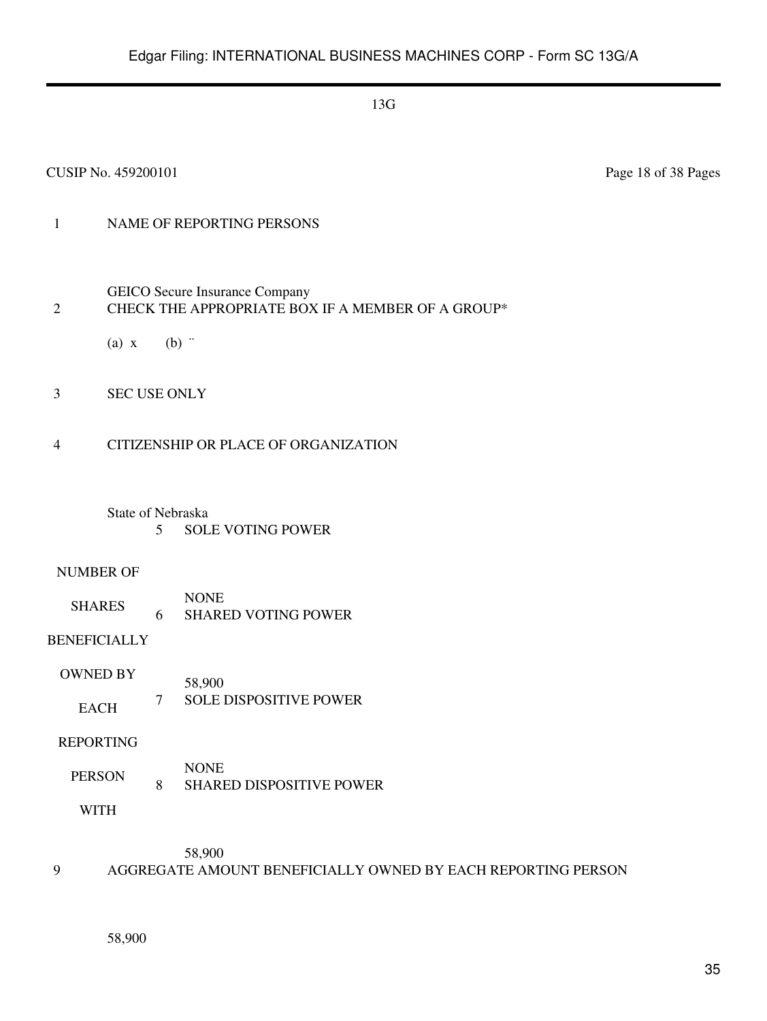#### CUSIP No. 459200101 Page 18 of 38 Pages

## 1 NAME OF REPORTING PERSONS

- GEICO Secure Insurance Company 2 CHECK THE APPROPRIATE BOX IF A MEMBER OF A GROUP\*
	- (a)  $x$  (b)  $\dddot{ }$
- 3 SEC USE ONLY
- 4 CITIZENSHIP OR PLACE OF ORGANIZATION
	- State of Nebraska 5 SOLE VOTING POWER

#### NUMBER OF

SHARES NONE 6 SHARED VOTING POWER

## BENEFICIALLY

OWNED BY EACH 58,900 7 SOLE DISPOSITIVE POWER

#### REPORTING

PERSON NONE 8 SHARED DISPOSITIVE POWER

WITH

58,900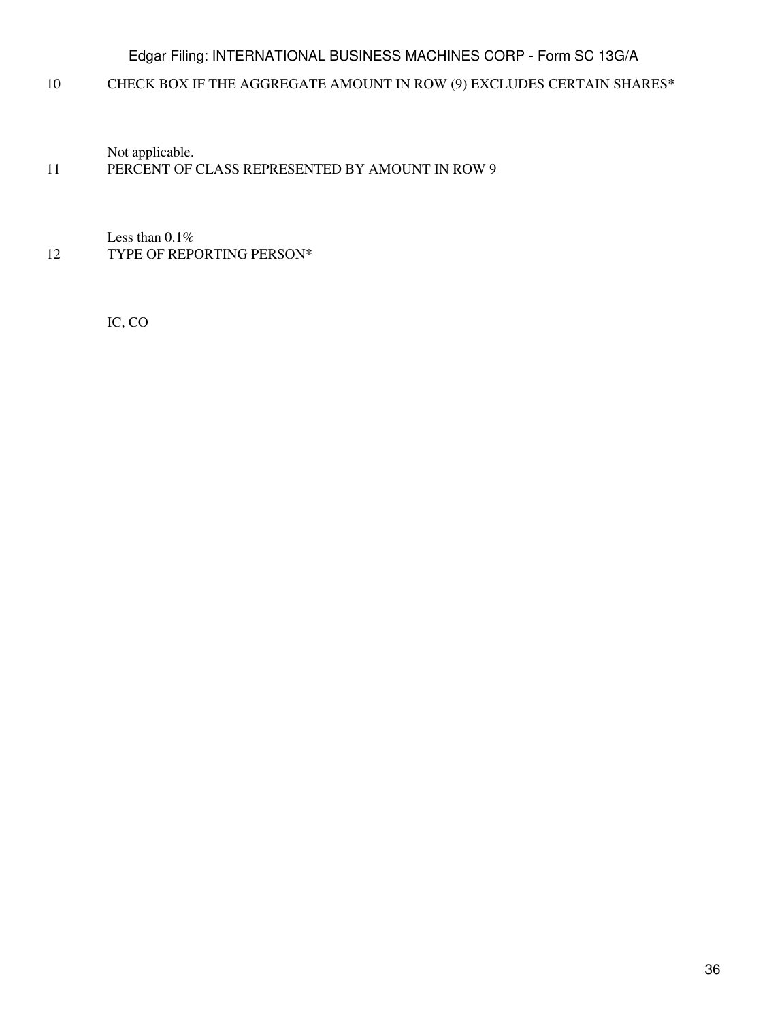10 CHECK BOX IF THE AGGREGATE AMOUNT IN ROW (9) EXCLUDES CERTAIN SHARES\*

Not applicable.

## 11 PERCENT OF CLASS REPRESENTED BY AMOUNT IN ROW 9

Less than 0.1% 12 TYPE OF REPORTING PERSON\*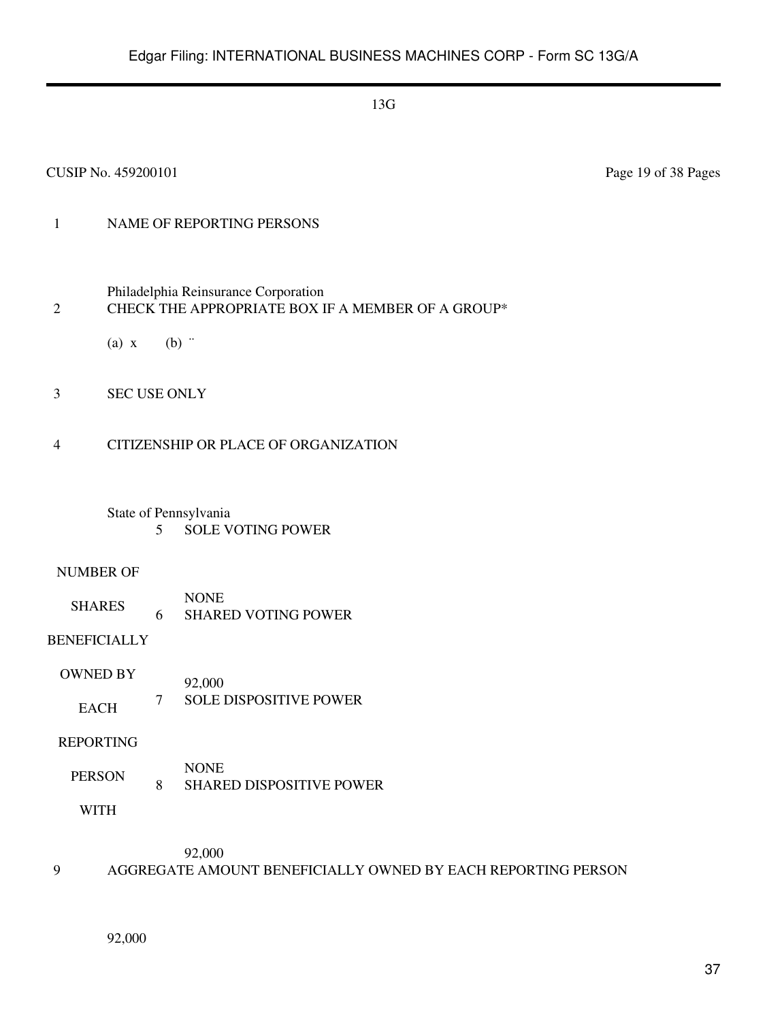#### CUSIP No. 459200101 Page 19 of 38 Pages

## 1 NAME OF REPORTING PERSONS

- Philadelphia Reinsurance Corporation 2 CHECK THE APPROPRIATE BOX IF A MEMBER OF A GROUP\*
	- (a)  $x$  (b)  $\dddot{ }$
- 3 SEC USE ONLY
- 4 CITIZENSHIP OR PLACE OF ORGANIZATION
	- State of Pennsylvania 5 SOLE VOTING POWER

#### NUMBER OF

SHARES NONE 6 SHARED VOTING POWER

## BENEFICIALLY

OWNED BY EACH 92,000 7 SOLE DISPOSITIVE POWER

#### REPORTING

PERSON NONE 8 SHARED DISPOSITIVE POWER

WITH

92,000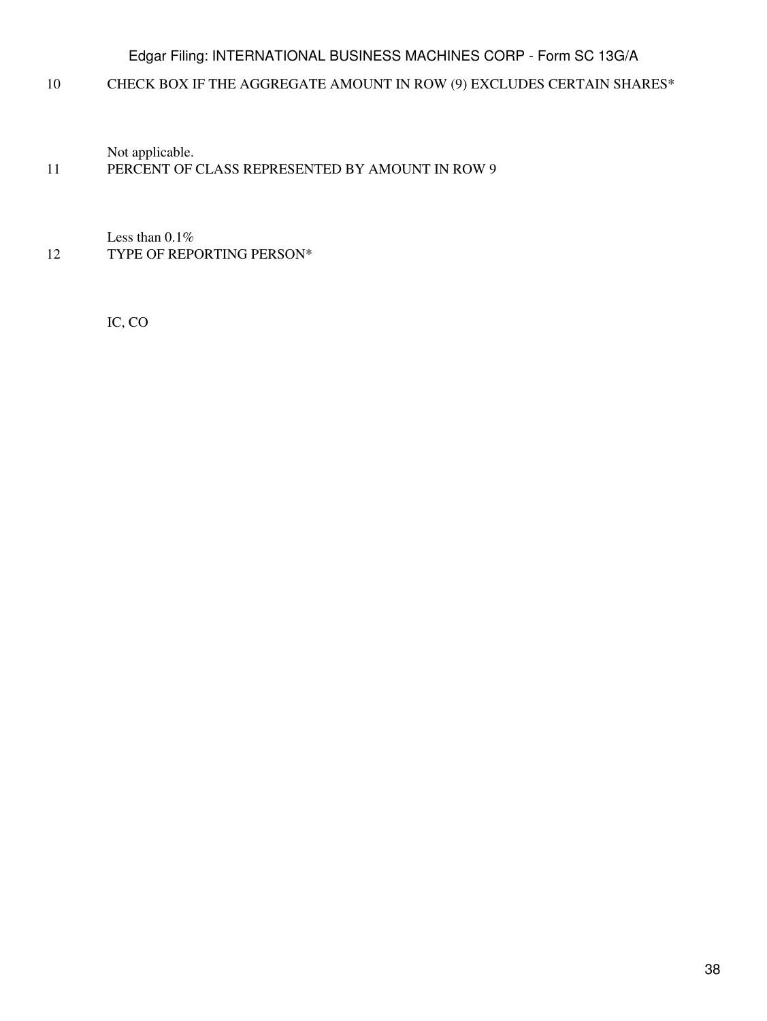10 CHECK BOX IF THE AGGREGATE AMOUNT IN ROW (9) EXCLUDES CERTAIN SHARES\*

Not applicable.

## 11 PERCENT OF CLASS REPRESENTED BY AMOUNT IN ROW 9

Less than 0.1% 12 TYPE OF REPORTING PERSON\*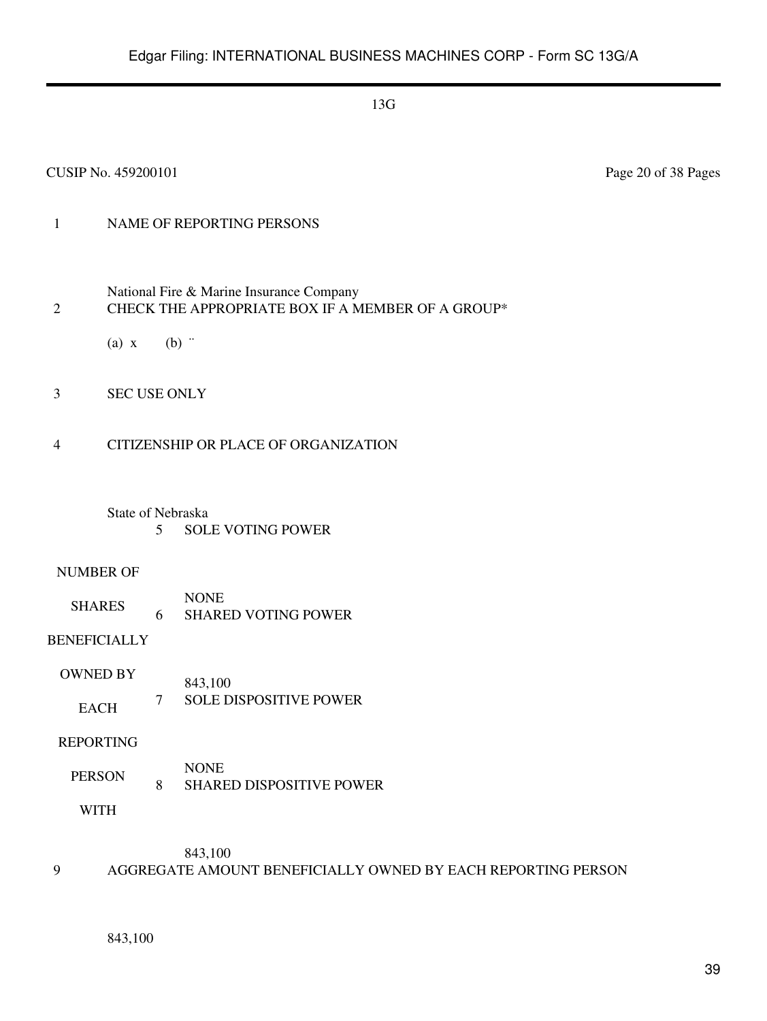#### CUSIP No. 459200101 Page 20 of 38 Pages

## 1 NAME OF REPORTING PERSONS

- National Fire & Marine Insurance Company 2 CHECK THE APPROPRIATE BOX IF A MEMBER OF A GROUP\*
	- (a)  $x$  (b)  $\dddot{ }$
- 3 SEC USE ONLY
- 4 CITIZENSHIP OR PLACE OF ORGANIZATION
	- State of Nebraska 5 SOLE VOTING POWER

#### NUMBER OF

SHARES NONE 6 SHARED VOTING POWER

## BENEFICIALLY

OWNED BY EACH 843,100 7 SOLE DISPOSITIVE POWER

#### REPORTING

PERSON NONE 8 SHARED DISPOSITIVE POWER

WITH

843,100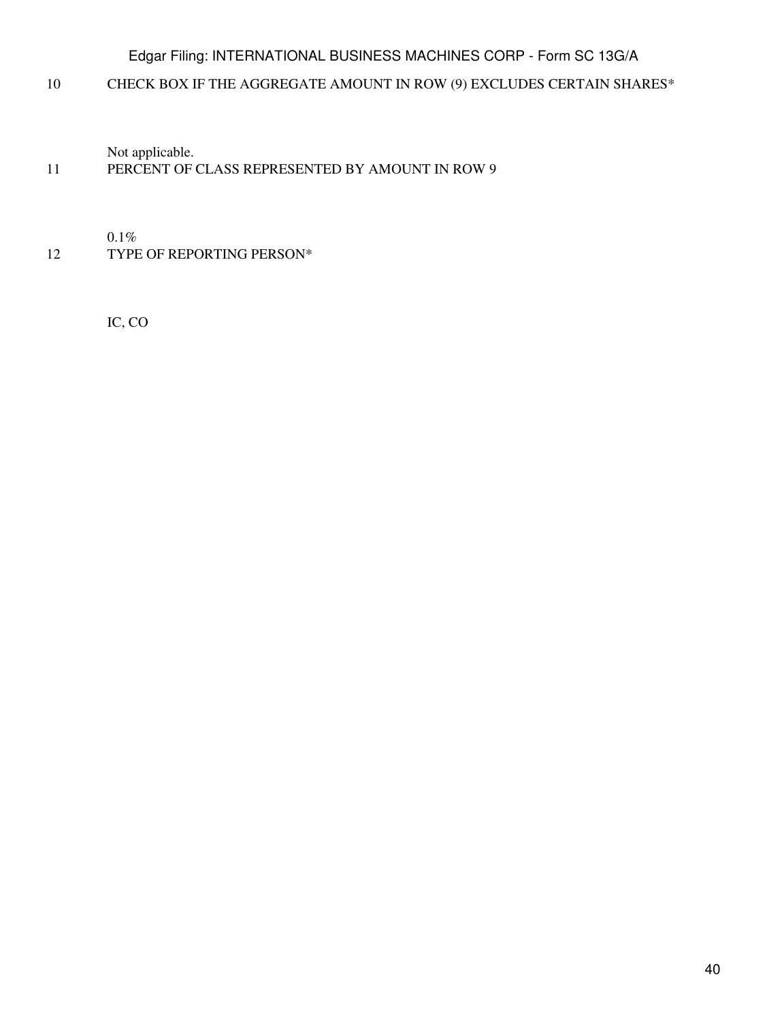10 CHECK BOX IF THE AGGREGATE AMOUNT IN ROW (9) EXCLUDES CERTAIN SHARES\*

Not applicable.

## 11 PERCENT OF CLASS REPRESENTED BY AMOUNT IN ROW 9

0.1%

12 TYPE OF REPORTING PERSON\*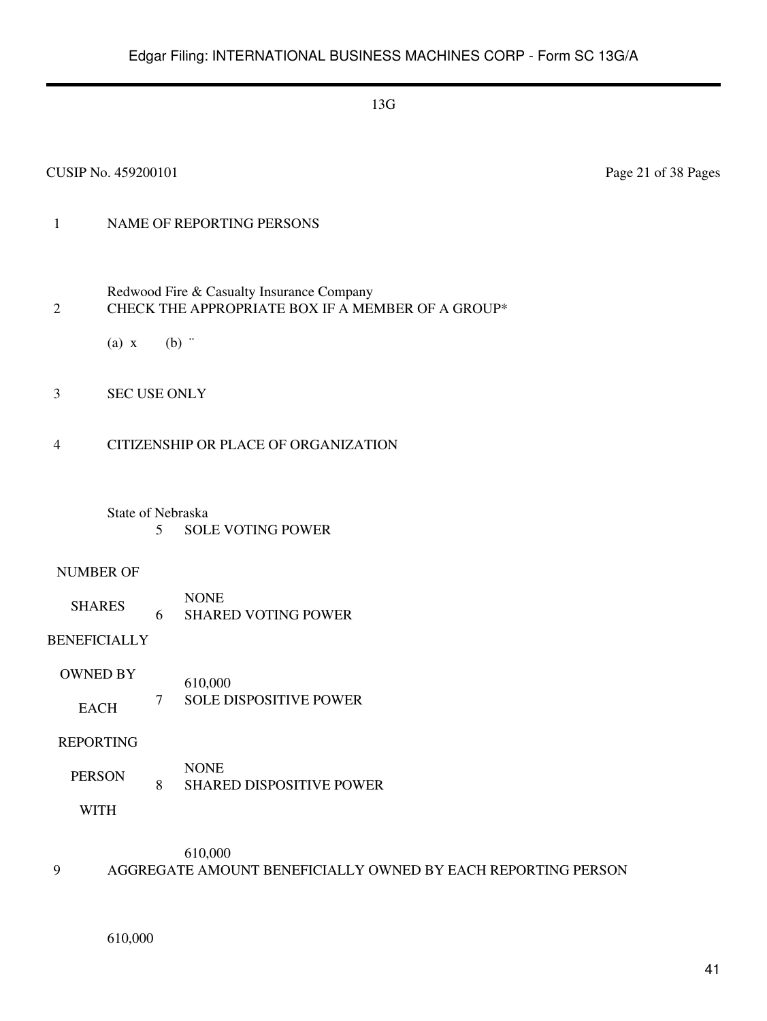## 1 NAME OF REPORTING PERSONS

- Redwood Fire & Casualty Insurance Company 2 CHECK THE APPROPRIATE BOX IF A MEMBER OF A GROUP\*
	- (a)  $x$  (b)  $\dddot{ }$
- 3 SEC USE ONLY
- 4 CITIZENSHIP OR PLACE OF ORGANIZATION
	- State of Nebraska 5 SOLE VOTING POWER

#### NUMBER OF

SHARES NONE 6 SHARED VOTING POWER

## BENEFICIALLY

OWNED BY EACH 610,000 7 SOLE DISPOSITIVE POWER

#### REPORTING

PERSON NONE 8 SHARED DISPOSITIVE POWER

WITH

610,000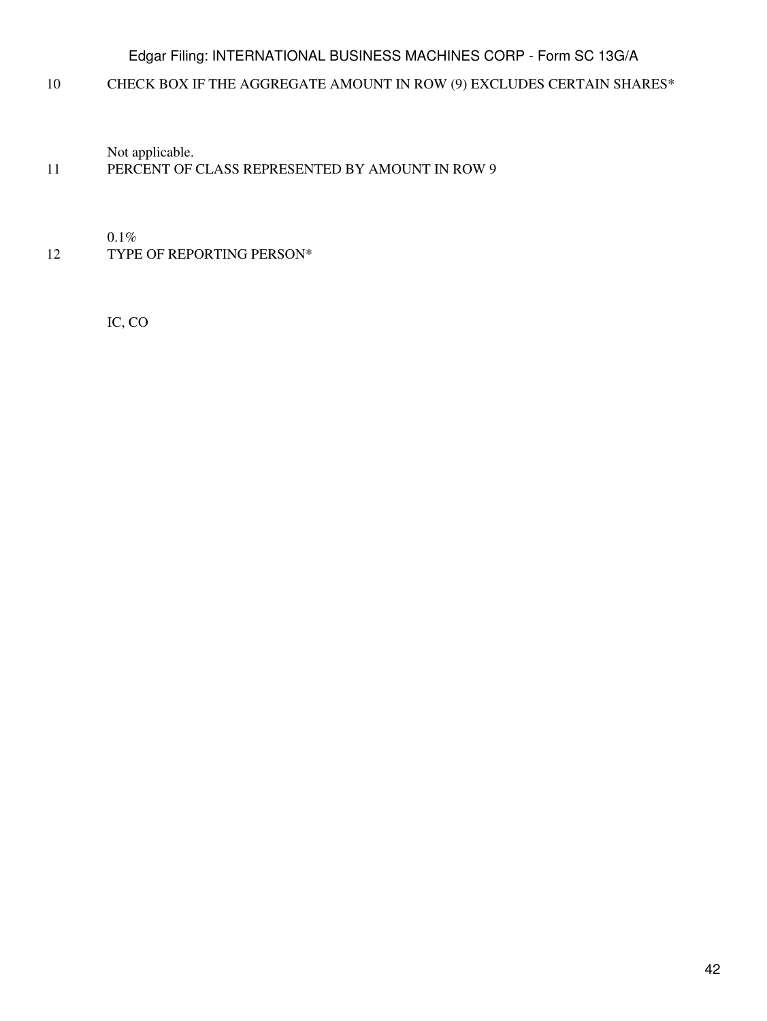10 CHECK BOX IF THE AGGREGATE AMOUNT IN ROW (9) EXCLUDES CERTAIN SHARES\*

Not applicable.

## 11 PERCENT OF CLASS REPRESENTED BY AMOUNT IN ROW 9

0.1%

12 TYPE OF REPORTING PERSON\*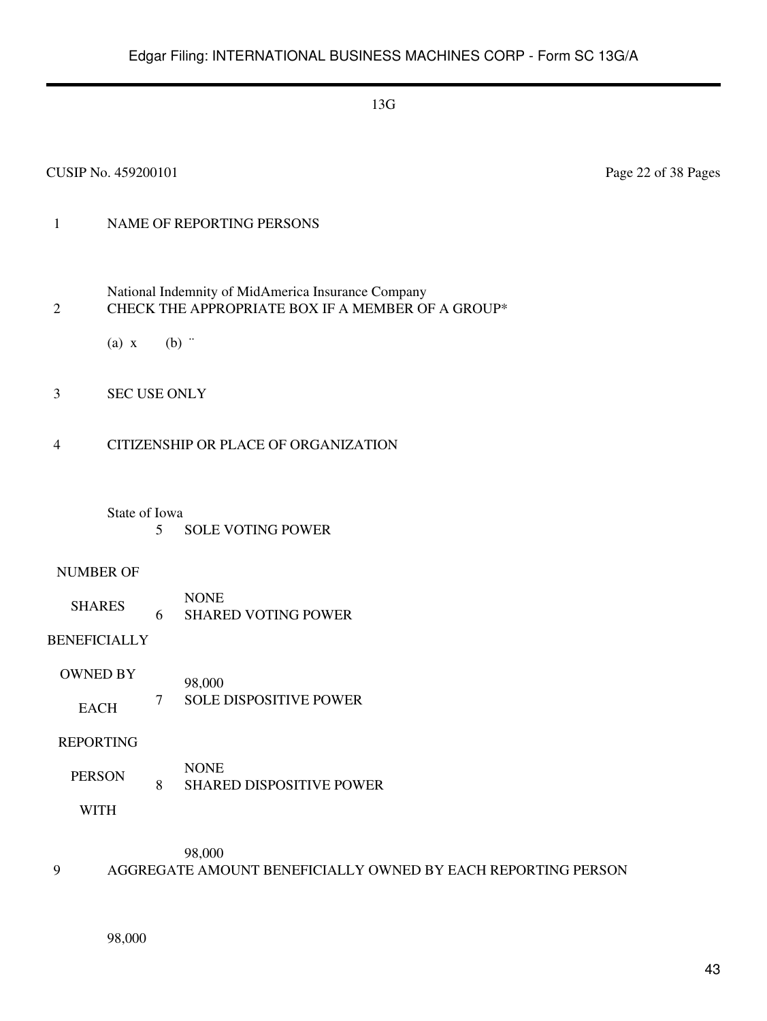#### CUSIP No. 459200101 Page 22 of 38 Pages

## 1 NAME OF REPORTING PERSONS

- National Indemnity of MidAmerica Insurance Company 2 CHECK THE APPROPRIATE BOX IF A MEMBER OF A GROUP\*
	- (a)  $x$  (b)  $\dddot{ }$
- 3 SEC USE ONLY

#### 4 CITIZENSHIP OR PLACE OF ORGANIZATION

#### State of Iowa

5 SOLE VOTING POWER

#### NUMBER OF

SHARES NONE 6 SHARED VOTING POWER

## BENEFICIALLY

OWNED BY EACH 98,000 7 SOLE DISPOSITIVE POWER

#### REPORTING

PERSON NONE 8 SHARED DISPOSITIVE POWER

WITH

98,000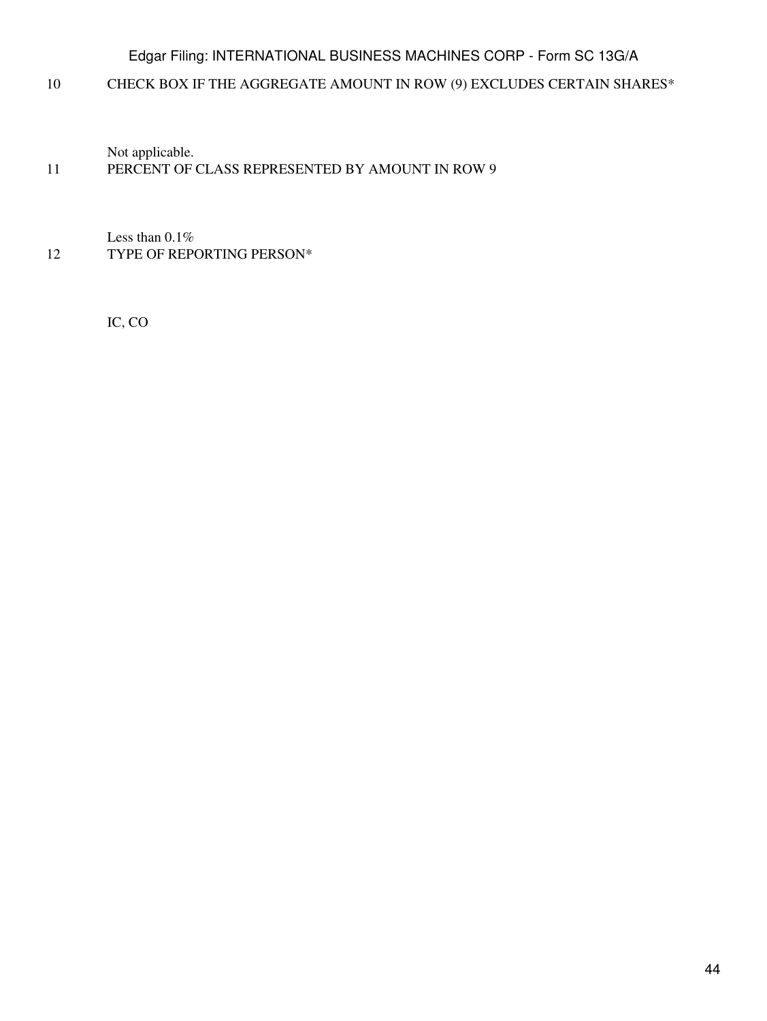10 CHECK BOX IF THE AGGREGATE AMOUNT IN ROW (9) EXCLUDES CERTAIN SHARES\*

Not applicable.

## 11 PERCENT OF CLASS REPRESENTED BY AMOUNT IN ROW 9

Less than 0.1% 12 TYPE OF REPORTING PERSON\*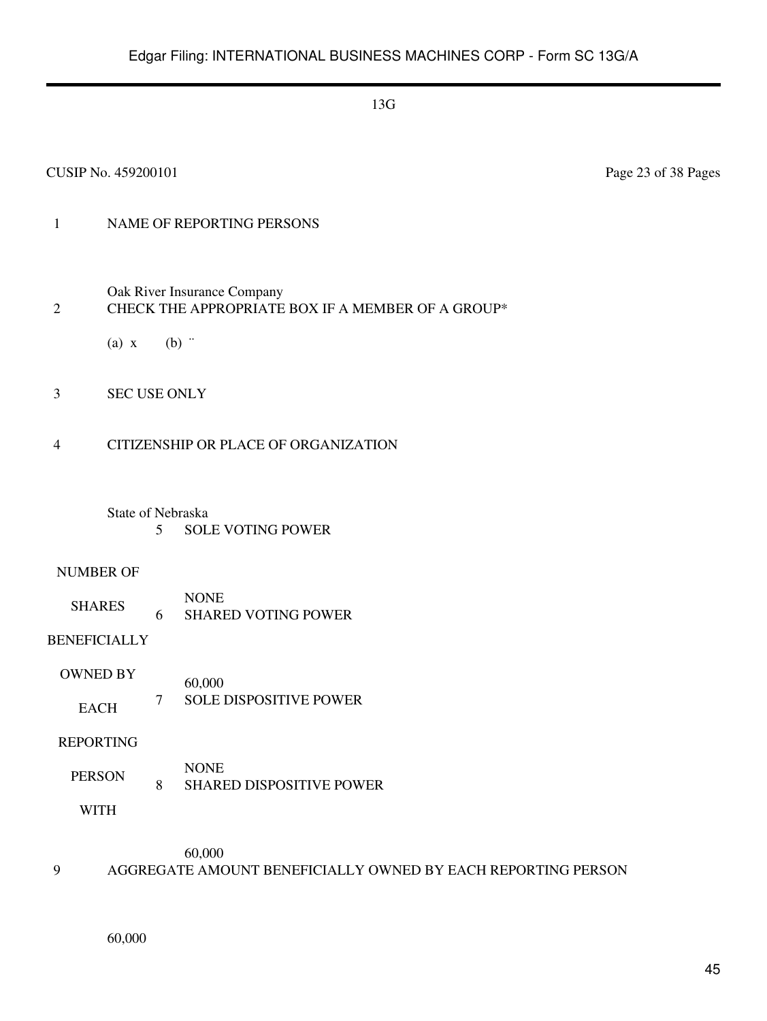#### CUSIP No. 459200101 Page 23 of 38 Pages

## 1 NAME OF REPORTING PERSONS

Oak River Insurance Company

#### 2 CHECK THE APPROPRIATE BOX IF A MEMBER OF A GROUP\*

- (a)  $x$  (b)  $\dddot{ }$
- 3 SEC USE ONLY

#### 4 CITIZENSHIP OR PLACE OF ORGANIZATION

#### State of Nebraska 5 SOLE VOTING POWER

#### NUMBER OF

SHARES NONE 6 SHARED VOTING POWER

#### BENEFICIALLY

OWNED BY EACH 60,000 7 SOLE DISPOSITIVE POWER

#### REPORTING

PERSON NONE 8 SHARED DISPOSITIVE POWER

WITH

60,000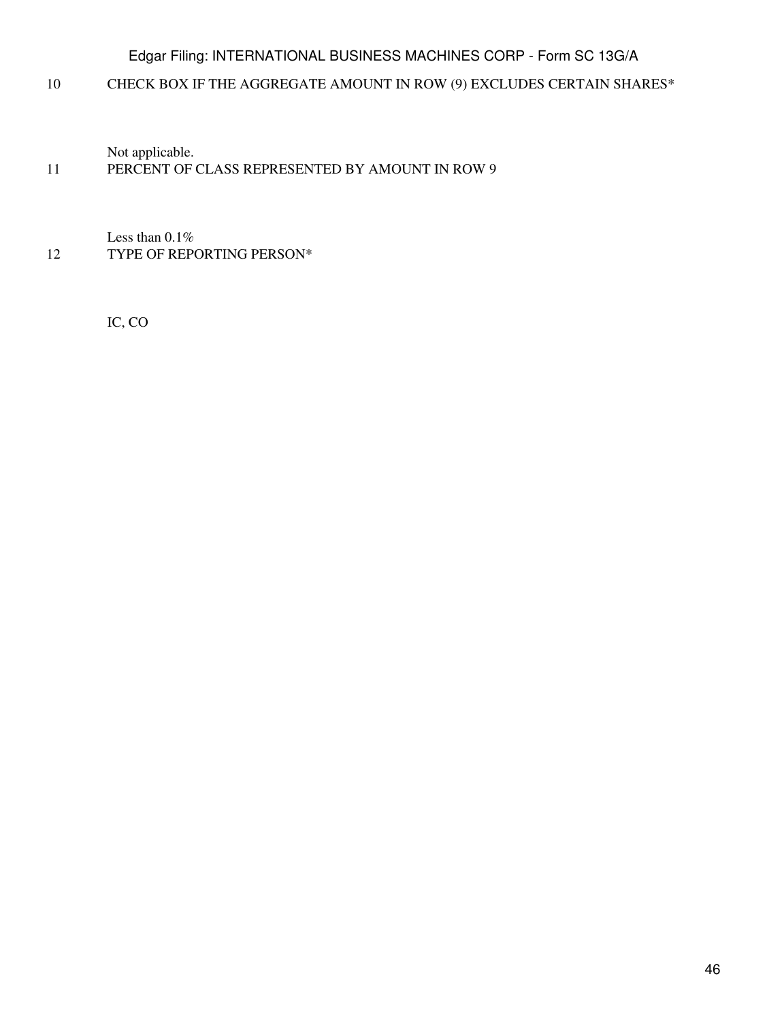10 CHECK BOX IF THE AGGREGATE AMOUNT IN ROW (9) EXCLUDES CERTAIN SHARES\*

Not applicable.

## 11 PERCENT OF CLASS REPRESENTED BY AMOUNT IN ROW 9

Less than 0.1% 12 TYPE OF REPORTING PERSON\*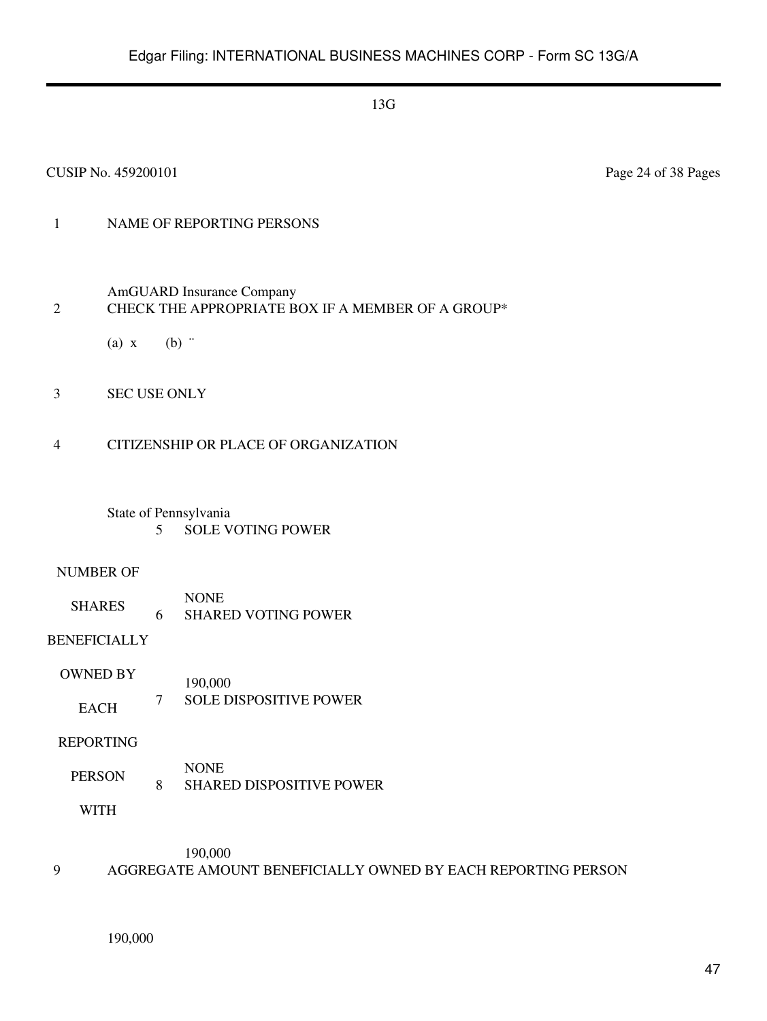#### CUSIP No. 459200101 Page 24 of 38 Pages

## 1 NAME OF REPORTING PERSONS

AmGUARD Insurance Company

## 2 CHECK THE APPROPRIATE BOX IF A MEMBER OF A GROUP\*

- (a)  $x$  (b)  $\dddot{ }$
- 3 SEC USE ONLY
- 4 CITIZENSHIP OR PLACE OF ORGANIZATION

## State of Pennsylvania 5 SOLE VOTING POWER

#### NUMBER OF

SHARES NONE 6 SHARED VOTING POWER

## BENEFICIALLY

OWNED BY EACH 190,000 7 SOLE DISPOSITIVE POWER

#### REPORTING

PERSON NONE 8 SHARED DISPOSITIVE POWER

WITH

190,000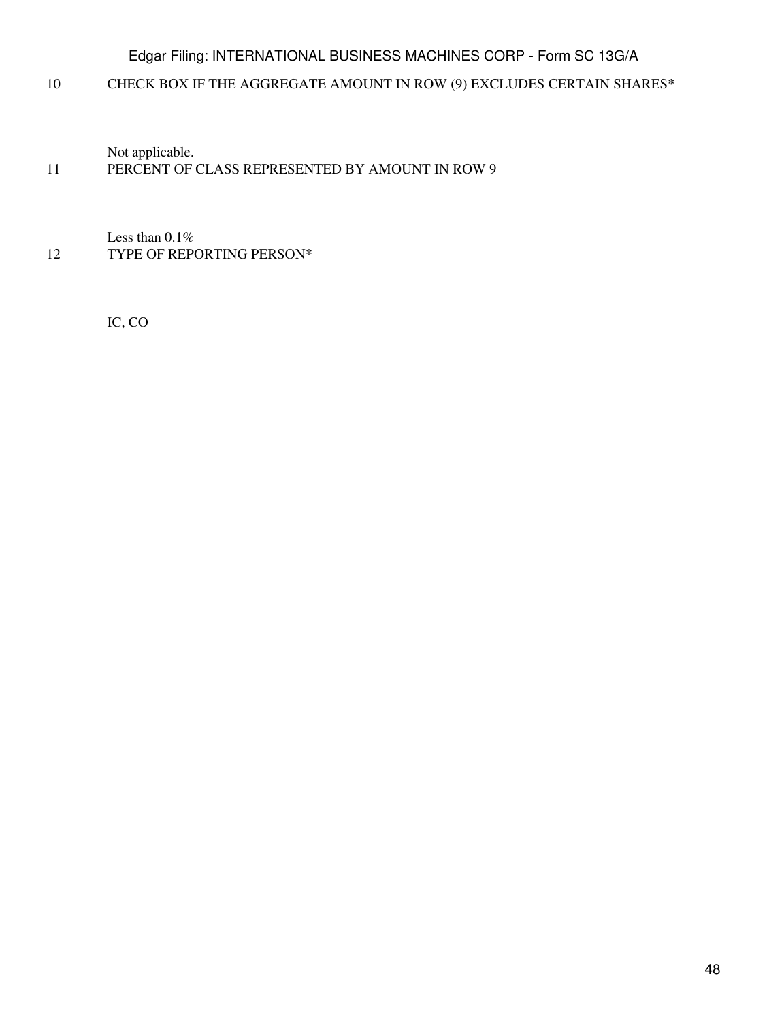10 CHECK BOX IF THE AGGREGATE AMOUNT IN ROW (9) EXCLUDES CERTAIN SHARES\*

Not applicable.

## 11 PERCENT OF CLASS REPRESENTED BY AMOUNT IN ROW 9

Less than 0.1% 12 TYPE OF REPORTING PERSON\*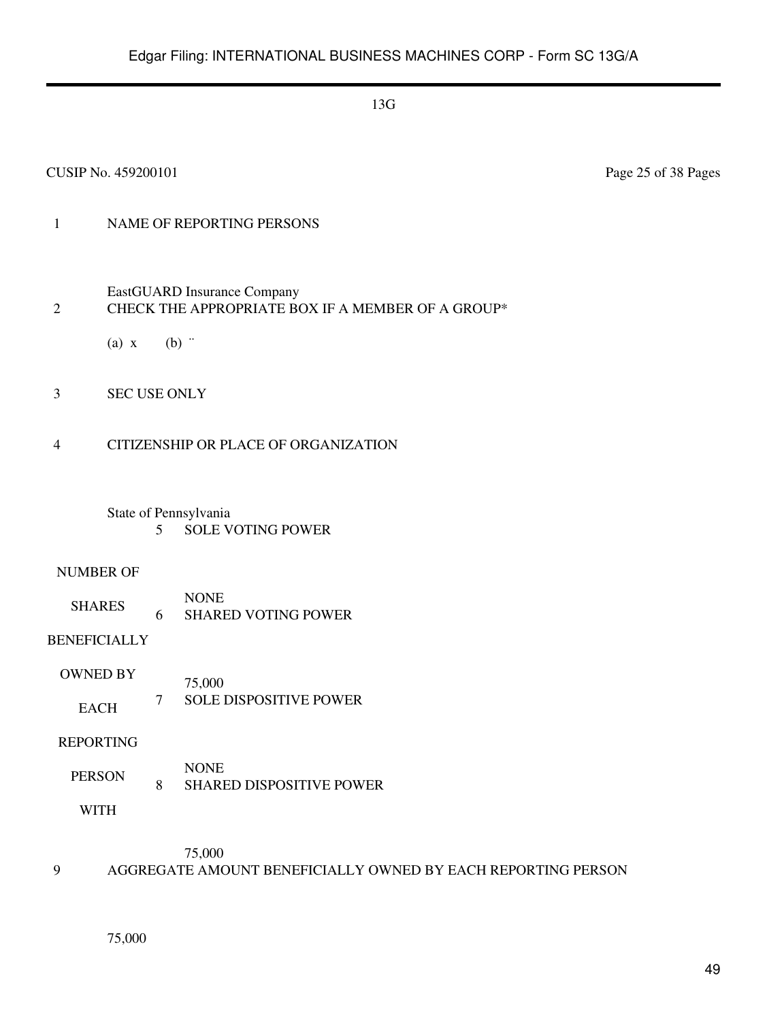#### CUSIP No. 459200101 Page 25 of 38 Pages

## 1 NAME OF REPORTING PERSONS

- EastGUARD Insurance Company 2 CHECK THE APPROPRIATE BOX IF A MEMBER OF A GROUP\*
	- (a)  $x$  (b)  $\dddot{ }$
- 3 SEC USE ONLY
- 4 CITIZENSHIP OR PLACE OF ORGANIZATION
	- State of Pennsylvania 5 SOLE VOTING POWER

#### NUMBER OF

SHARES NONE 6 SHARED VOTING POWER

## BENEFICIALLY

OWNED BY EACH 75,000 7 SOLE DISPOSITIVE POWER

#### REPORTING

PERSON NONE 8 SHARED DISPOSITIVE POWER

WITH

75,000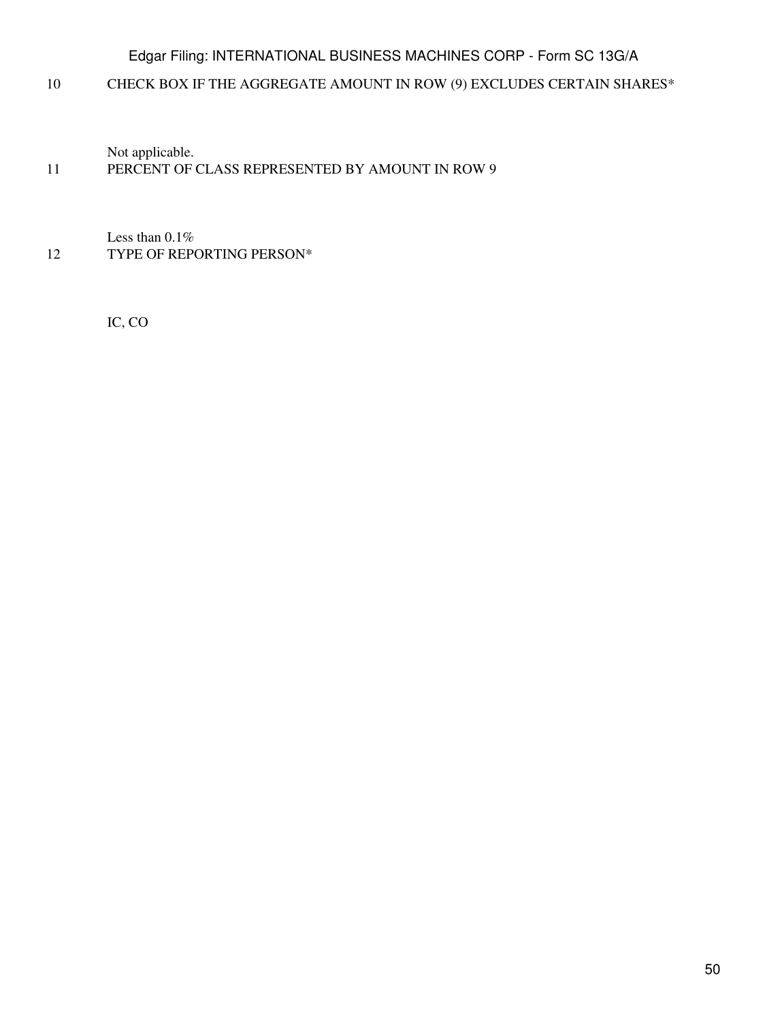10 CHECK BOX IF THE AGGREGATE AMOUNT IN ROW (9) EXCLUDES CERTAIN SHARES\*

Not applicable.

## 11 PERCENT OF CLASS REPRESENTED BY AMOUNT IN ROW 9

Less than 0.1% 12 TYPE OF REPORTING PERSON\*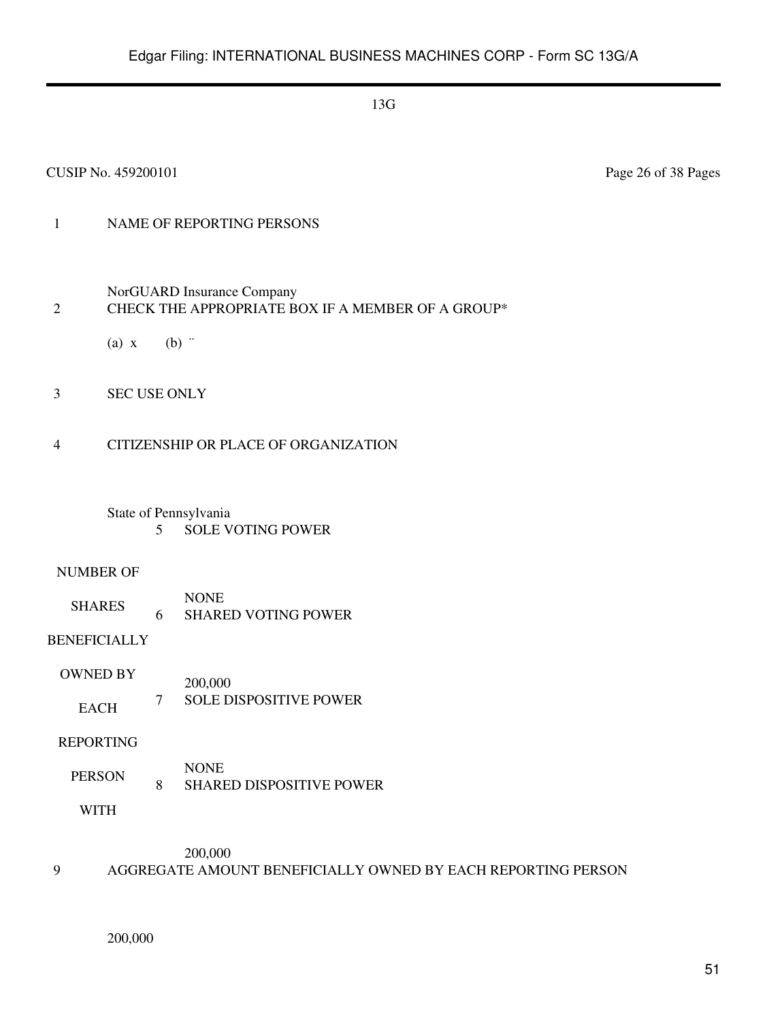#### CUSIP No. 459200101 Page 26 of 38 Pages

## 1 NAME OF REPORTING PERSONS

NorGUARD Insurance Company

## 2 CHECK THE APPROPRIATE BOX IF A MEMBER OF A GROUP\*

- (a)  $x$  (b)  $\dddot{ }$
- 3 SEC USE ONLY
- 4 CITIZENSHIP OR PLACE OF ORGANIZATION

## State of Pennsylvania 5 SOLE VOTING POWER

#### NUMBER OF

SHARES NONE 6 SHARED VOTING POWER

## BENEFICIALLY

OWNED BY EACH 200,000 7 SOLE DISPOSITIVE POWER

#### REPORTING

PERSON NONE 8 SHARED DISPOSITIVE POWER

WITH

200,000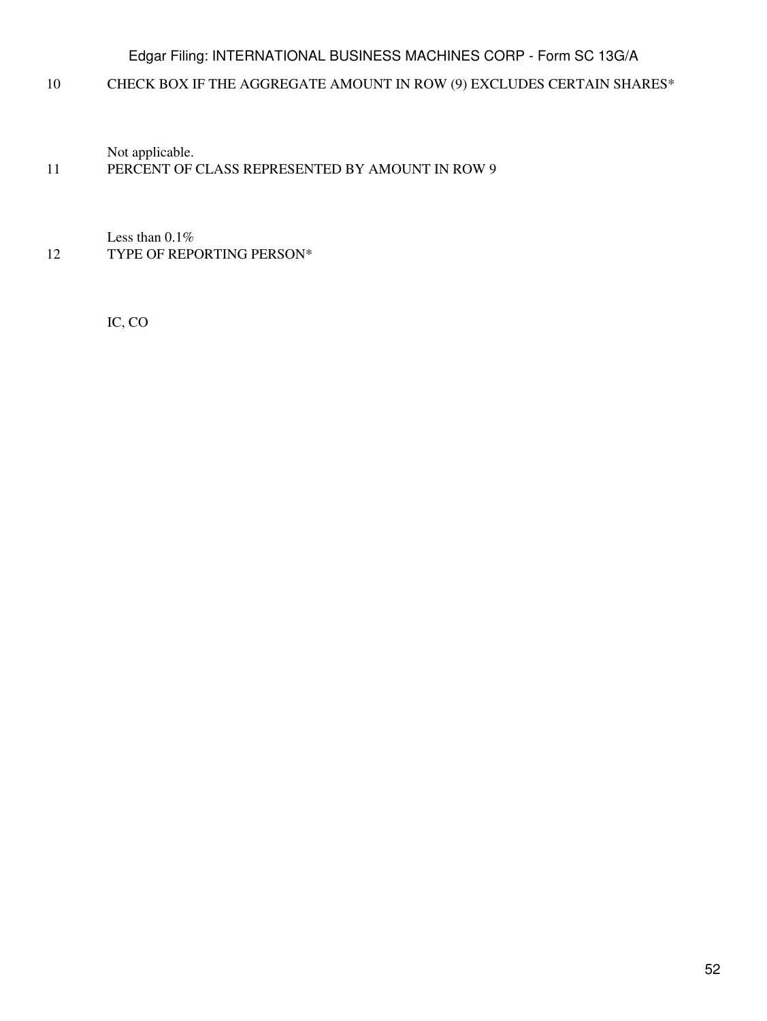10 CHECK BOX IF THE AGGREGATE AMOUNT IN ROW (9) EXCLUDES CERTAIN SHARES\*

Not applicable.

## 11 PERCENT OF CLASS REPRESENTED BY AMOUNT IN ROW 9

Less than 0.1% 12 TYPE OF REPORTING PERSON\*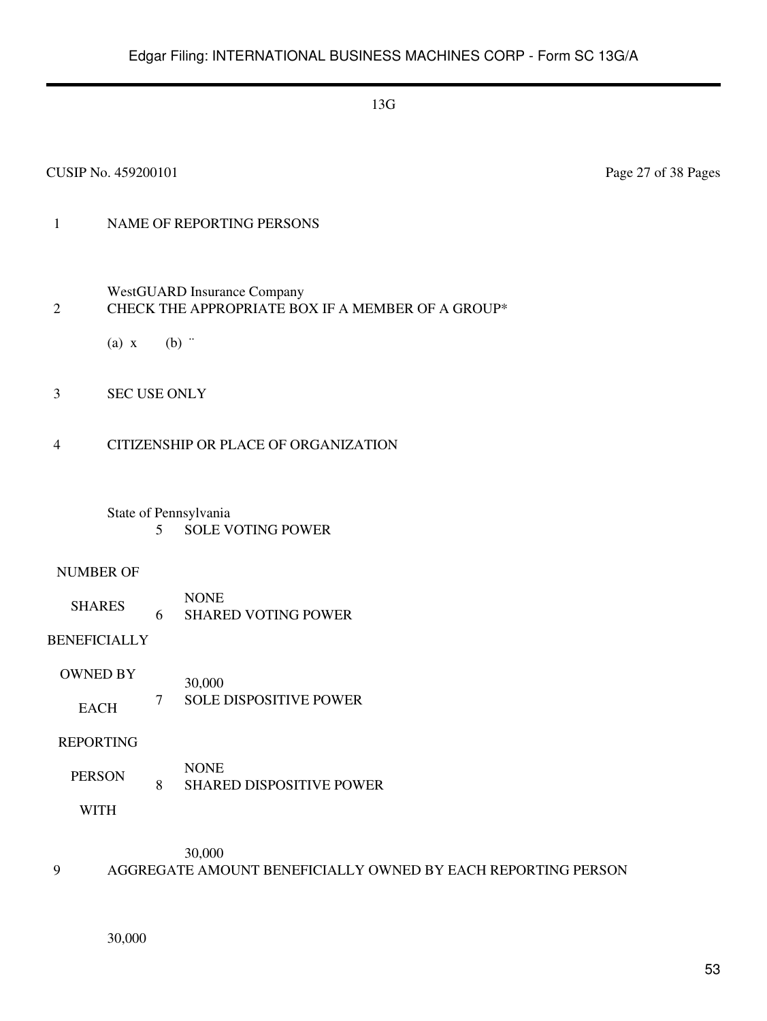#### CUSIP No. 459200101 Page 27 of 38 Pages

## 1 NAME OF REPORTING PERSONS

- WestGUARD Insurance Company 2 CHECK THE APPROPRIATE BOX IF A MEMBER OF A GROUP\*
	- (a)  $x$  (b)  $\dddot{ }$
- 3 SEC USE ONLY
- 4 CITIZENSHIP OR PLACE OF ORGANIZATION
	- State of Pennsylvania 5 SOLE VOTING POWER

#### NUMBER OF

SHARES NONE 6 SHARED VOTING POWER

## BENEFICIALLY

OWNED BY EACH 30,000 7 SOLE DISPOSITIVE POWER

#### REPORTING

PERSON NONE 8 SHARED DISPOSITIVE POWER

WITH

30,000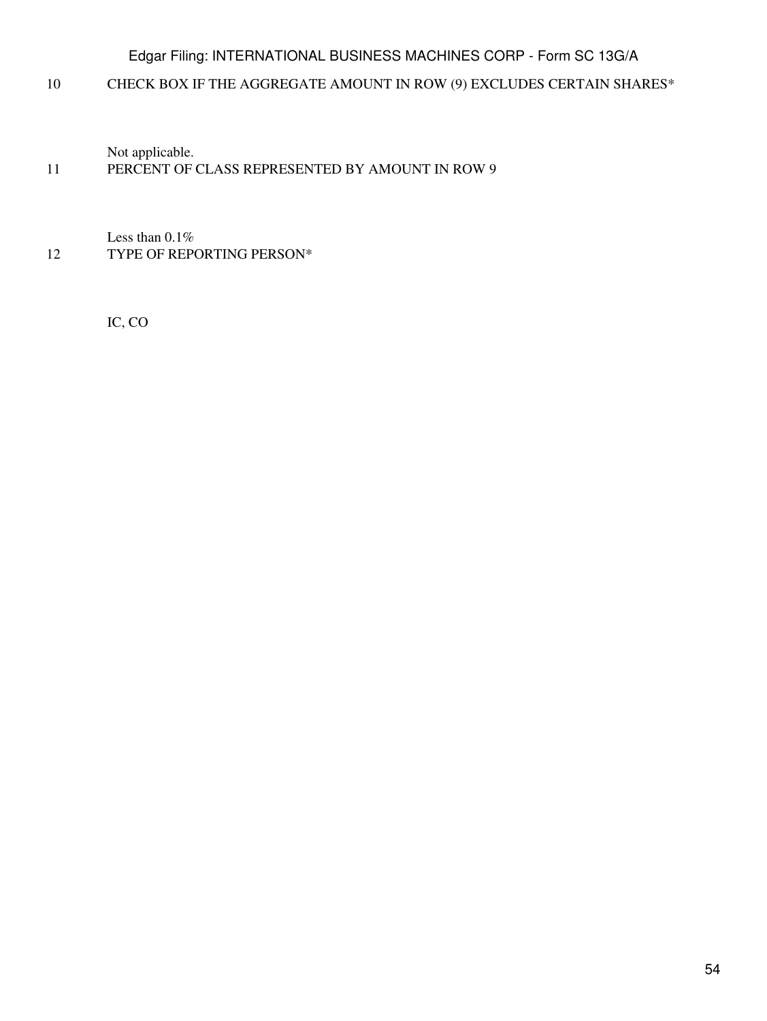10 CHECK BOX IF THE AGGREGATE AMOUNT IN ROW (9) EXCLUDES CERTAIN SHARES\*

Not applicable.

## 11 PERCENT OF CLASS REPRESENTED BY AMOUNT IN ROW 9

Less than 0.1% 12 TYPE OF REPORTING PERSON\*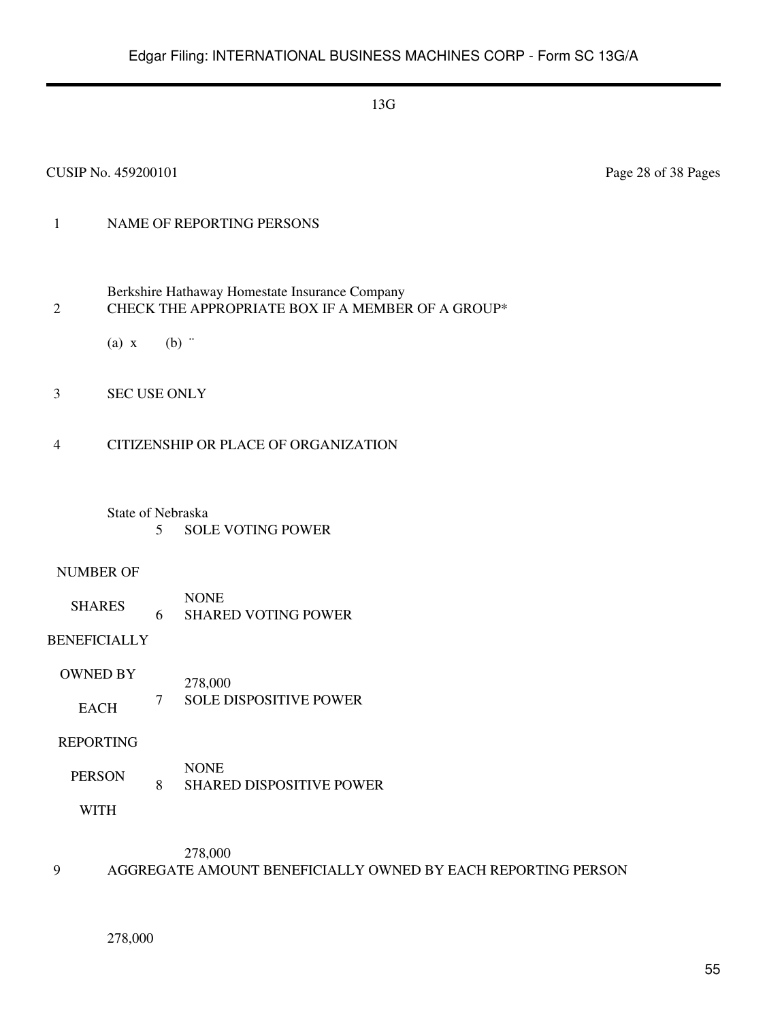#### CUSIP No. 459200101 Page 28 of 38 Pages

## 1 NAME OF REPORTING PERSONS

- Berkshire Hathaway Homestate Insurance Company 2 CHECK THE APPROPRIATE BOX IF A MEMBER OF A GROUP\*
	- (a)  $x$  (b)  $\dddot{ }$
- 3 SEC USE ONLY
- 4 CITIZENSHIP OR PLACE OF ORGANIZATION
	- State of Nebraska 5 SOLE VOTING POWER

#### NUMBER OF

SHARES NONE 6 SHARED VOTING POWER

## BENEFICIALLY

OWNED BY EACH 278,000 7 SOLE DISPOSITIVE POWER

#### REPORTING

PERSON NONE 8 SHARED DISPOSITIVE POWER

WITH

278,000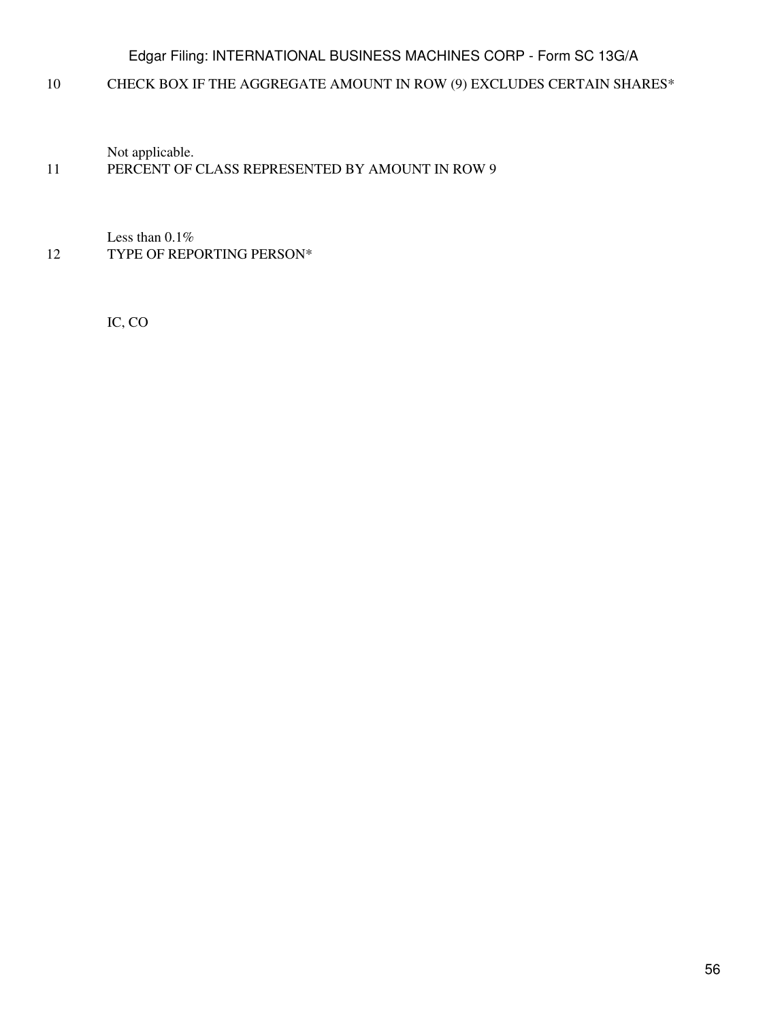10 CHECK BOX IF THE AGGREGATE AMOUNT IN ROW (9) EXCLUDES CERTAIN SHARES\*

Not applicable.

## 11 PERCENT OF CLASS REPRESENTED BY AMOUNT IN ROW 9

Less than 0.1% 12 TYPE OF REPORTING PERSON\*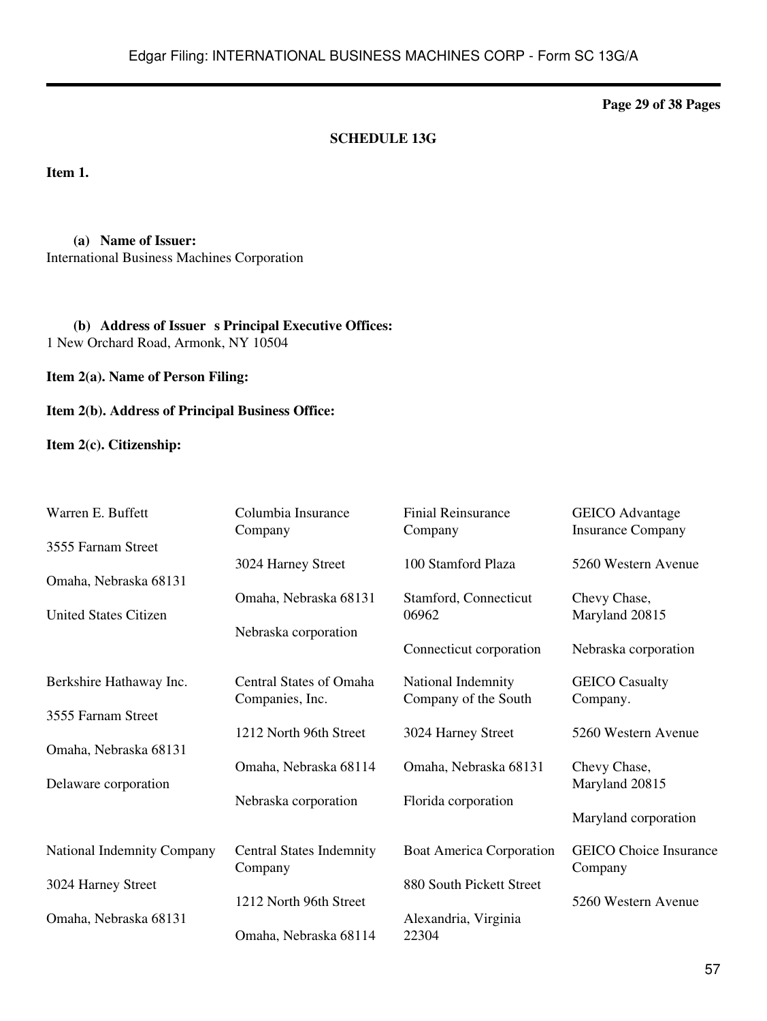**Page 29 of 38 Pages**

## **SCHEDULE 13G**

**Item 1.**

**(a) Name of Issuer:** International Business Machines Corporation

(b) **Address of Issuer s Principal Executive Offices:** 1 New Orchard Road, Armonk, NY 10504

**Item 2(a). Name of Person Filing:**

**Item 2(b). Address of Principal Business Office:**

**Item 2(c). Citizenship:**

| Warren E. Buffett            | Columbia Insurance<br>Company   | <b>Finial Reinsurance</b><br>Company | <b>GEICO</b> Advantage<br><b>Insurance Company</b> |
|------------------------------|---------------------------------|--------------------------------------|----------------------------------------------------|
| 3555 Farnam Street           |                                 |                                      |                                                    |
|                              | 3024 Harney Street              | 100 Stamford Plaza                   | 5260 Western Avenue                                |
| Omaha, Nebraska 68131        |                                 |                                      |                                                    |
| <b>United States Citizen</b> | Omaha, Nebraska 68131           | Stamford, Connecticut<br>06962       | Chevy Chase,<br>Maryland 20815                     |
|                              | Nebraska corporation            |                                      |                                                    |
|                              |                                 | Connecticut corporation              | Nebraska corporation                               |
| Berkshire Hathaway Inc.      | <b>Central States of Omaha</b>  | National Indemnity                   | <b>GEICO</b> Casualty                              |
|                              | Companies, Inc.                 | Company of the South                 | Company.                                           |
| 3555 Farnam Street           |                                 |                                      |                                                    |
| Omaha, Nebraska 68131        | 1212 North 96th Street          | 3024 Harney Street                   | 5260 Western Avenue                                |
|                              | Omaha, Nebraska 68114           | Omaha, Nebraska 68131                | Chevy Chase,                                       |
| Delaware corporation         |                                 |                                      | Maryland 20815                                     |
|                              | Nebraska corporation            | Florida corporation                  |                                                    |
|                              |                                 |                                      | Maryland corporation                               |
| National Indemnity Company   | <b>Central States Indemnity</b> | <b>Boat America Corporation</b>      | <b>GEICO</b> Choice Insurance                      |
|                              | Company                         |                                      | Company                                            |
| 3024 Harney Street           |                                 | 880 South Pickett Street             |                                                    |
| Omaha, Nebraska 68131        | 1212 North 96th Street          |                                      | 5260 Western Avenue                                |
|                              | Omaha, Nebraska 68114           | Alexandria, Virginia<br>22304        |                                                    |
|                              |                                 |                                      |                                                    |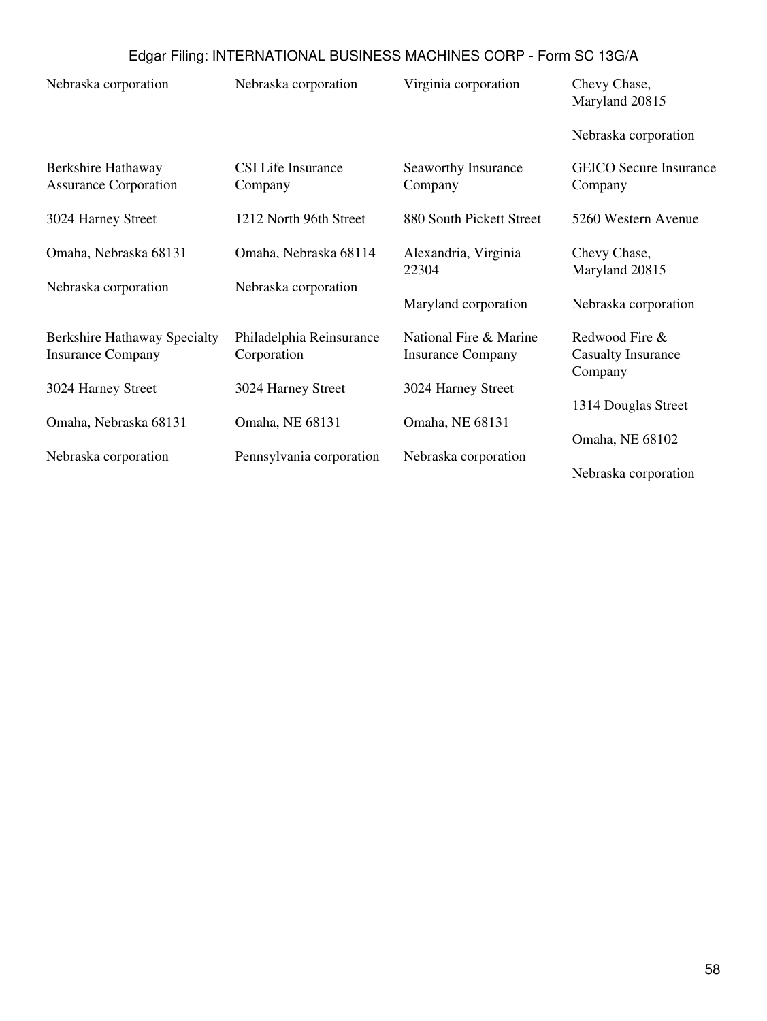| Nebraska corporation                                            | Nebraska corporation                    | Virginia corporation                               | Chevy Chase,<br>Maryland 20815                         |
|-----------------------------------------------------------------|-----------------------------------------|----------------------------------------------------|--------------------------------------------------------|
|                                                                 |                                         |                                                    | Nebraska corporation                                   |
| Berkshire Hathaway<br><b>Assurance Corporation</b>              | CSI Life Insurance<br>Company           | Seaworthy Insurance<br>Company                     | <b>GEICO</b> Secure Insurance<br>Company               |
| 3024 Harney Street                                              | 1212 North 96th Street                  | 880 South Pickett Street                           | 5260 Western Avenue                                    |
| Omaha, Nebraska 68131                                           | Omaha, Nebraska 68114                   | Alexandria, Virginia<br>22304                      | Chevy Chase,<br>Maryland 20815                         |
| Nebraska corporation                                            | Nebraska corporation                    | Maryland corporation                               | Nebraska corporation                                   |
| <b>Berkshire Hathaway Specialty</b><br><b>Insurance Company</b> | Philadelphia Reinsurance<br>Corporation | National Fire & Marine<br><b>Insurance Company</b> | Redwood Fire &<br><b>Casualty Insurance</b><br>Company |
| 3024 Harney Street                                              | 3024 Harney Street                      | 3024 Harney Street                                 |                                                        |
| Omaha, Nebraska 68131                                           | Omaha, NE 68131                         | Omaha, NE 68131                                    | 1314 Douglas Street<br>Omaha, NE 68102                 |
| Nebraska corporation                                            | Pennsylvania corporation                | Nebraska corporation                               | Nebraska corporation                                   |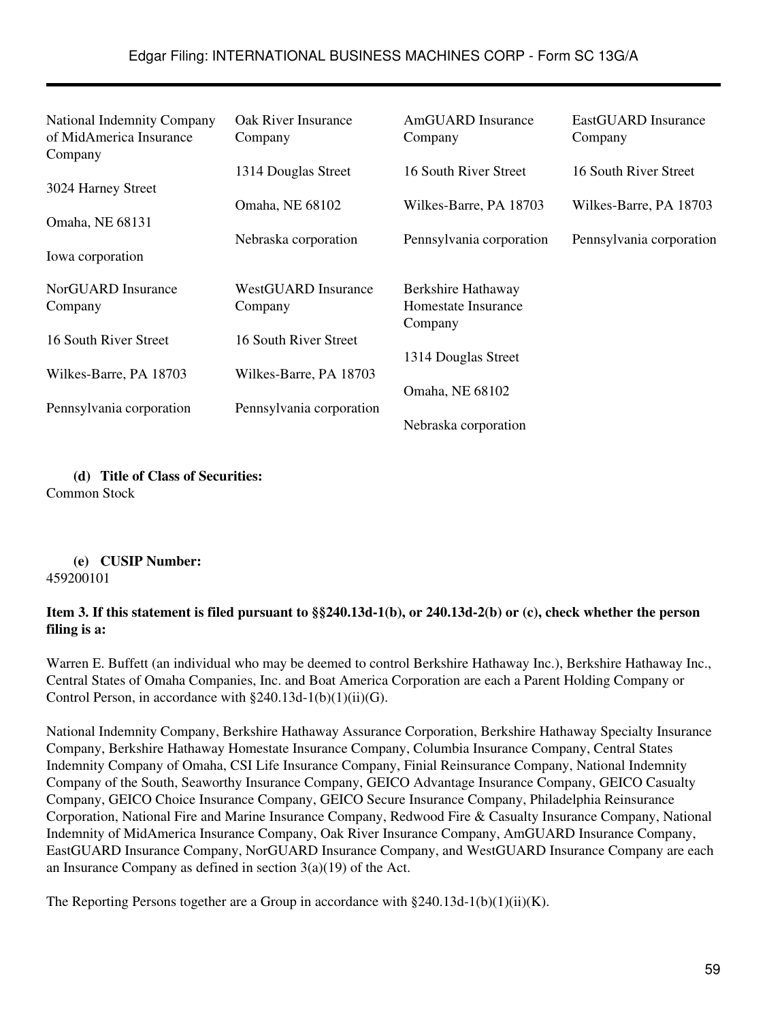| National Indemnity Company<br>of MidAmerica Insurance<br>Company | Oak River Insurance<br>Company | AmGUARD Insurance<br>Company   | EastGUARD Insurance<br>Company |
|------------------------------------------------------------------|--------------------------------|--------------------------------|--------------------------------|
|                                                                  | 1314 Douglas Street            | 16 South River Street          | 16 South River Street          |
| 3024 Harney Street                                               |                                |                                |                                |
|                                                                  | Omaha, NE 68102                | Wilkes-Barre, PA 18703         | Wilkes-Barre, PA 18703         |
| Omaha, NE 68131                                                  | Nebraska corporation           | Pennsylvania corporation       | Pennsylvania corporation       |
| Iowa corporation                                                 |                                |                                |                                |
| NorGUARD Insurance                                               | WestGUARD Insurance            | Berkshire Hathaway             |                                |
| Company                                                          | Company                        | Homestate Insurance<br>Company |                                |
| 16 South River Street                                            | 16 South River Street          |                                |                                |
|                                                                  |                                | 1314 Douglas Street            |                                |
| Wilkes-Barre, PA 18703                                           | Wilkes-Barre, PA 18703         |                                |                                |
| Pennsylvania corporation                                         | Pennsylvania corporation       | Omaha, NE 68102                |                                |
|                                                                  |                                | Nebraska corporation           |                                |

**(d) Title of Class of Securities:** Common Stock

**(e) CUSIP Number:** 459200101

## **Item 3. If this statement is filed pursuant to §§240.13d-1(b), or 240.13d-2(b) or (c), check whether the person filing is a:**

Warren E. Buffett (an individual who may be deemed to control Berkshire Hathaway Inc.), Berkshire Hathaway Inc., Central States of Omaha Companies, Inc. and Boat America Corporation are each a Parent Holding Company or Control Person, in accordance with  $\S240.13d-1(b)(1)(ii)(G)$ .

National Indemnity Company, Berkshire Hathaway Assurance Corporation, Berkshire Hathaway Specialty Insurance Company, Berkshire Hathaway Homestate Insurance Company, Columbia Insurance Company, Central States Indemnity Company of Omaha, CSI Life Insurance Company, Finial Reinsurance Company, National Indemnity Company of the South, Seaworthy Insurance Company, GEICO Advantage Insurance Company, GEICO Casualty Company, GEICO Choice Insurance Company, GEICO Secure Insurance Company, Philadelphia Reinsurance Corporation, National Fire and Marine Insurance Company, Redwood Fire & Casualty Insurance Company, National Indemnity of MidAmerica Insurance Company, Oak River Insurance Company, AmGUARD Insurance Company, EastGUARD Insurance Company, NorGUARD Insurance Company, and WestGUARD Insurance Company are each an Insurance Company as defined in section 3(a)(19) of the Act.

The Reporting Persons together are a Group in accordance with  $\S 240.13d-1(b)(1)(ii)(K)$ .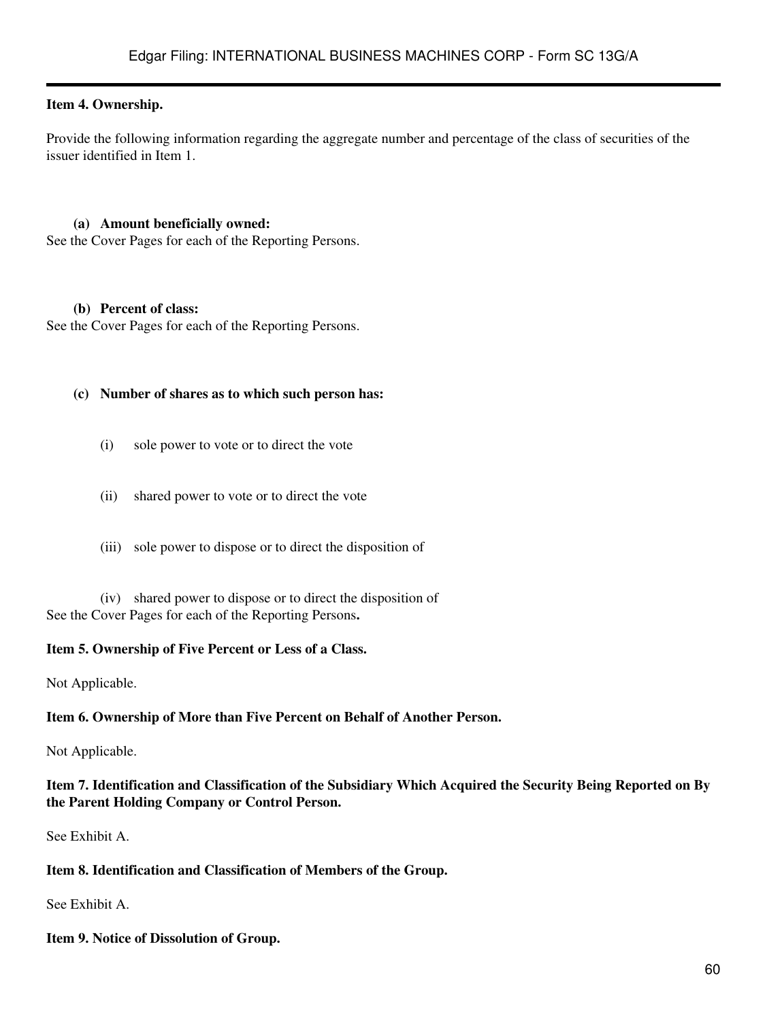#### **Item 4. Ownership.**

Provide the following information regarding the aggregate number and percentage of the class of securities of the issuer identified in Item 1.

#### **(a) Amount beneficially owned:**

See the Cover Pages for each of the Reporting Persons.

#### **(b) Percent of class:**

See the Cover Pages for each of the Reporting Persons.

#### **(c) Number of shares as to which such person has:**

- (i) sole power to vote or to direct the vote
- (ii) shared power to vote or to direct the vote
- (iii) sole power to dispose or to direct the disposition of

(iv) shared power to dispose or to direct the disposition of See the Cover Pages for each of the Reporting Persons**.**

#### **Item 5. Ownership of Five Percent or Less of a Class.**

Not Applicable.

#### **Item 6. Ownership of More than Five Percent on Behalf of Another Person.**

Not Applicable.

#### **Item 7. Identification and Classification of the Subsidiary Which Acquired the Security Being Reported on By the Parent Holding Company or Control Person.**

See Exhibit A.

#### **Item 8. Identification and Classification of Members of the Group.**

See Exhibit A.

#### **Item 9. Notice of Dissolution of Group.**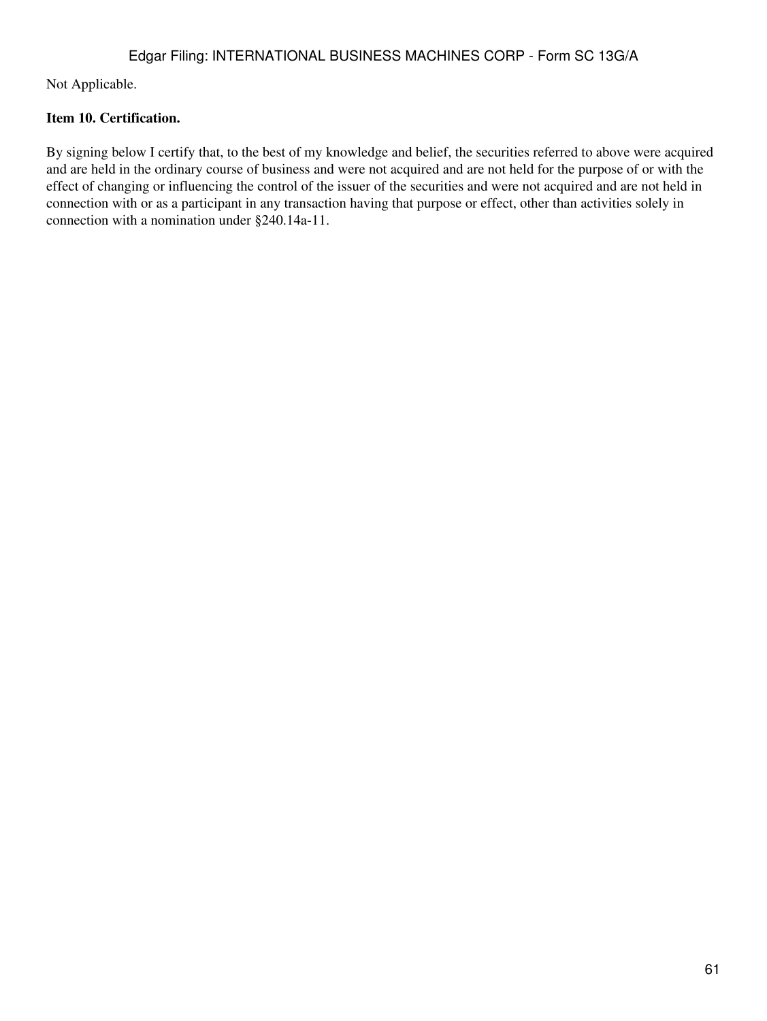Not Applicable.

## **Item 10. Certification.**

By signing below I certify that, to the best of my knowledge and belief, the securities referred to above were acquired and are held in the ordinary course of business and were not acquired and are not held for the purpose of or with the effect of changing or influencing the control of the issuer of the securities and were not acquired and are not held in connection with or as a participant in any transaction having that purpose or effect, other than activities solely in connection with a nomination under §240.14a-11.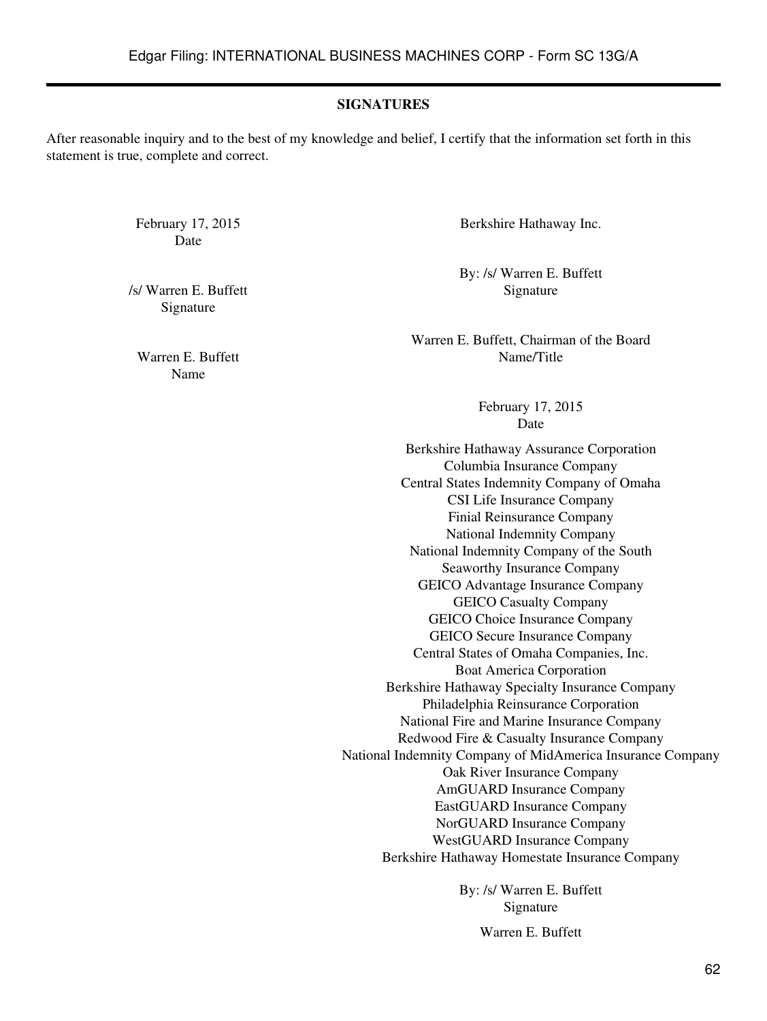#### **SIGNATURES**

After reasonable inquiry and to the best of my knowledge and belief, I certify that the information set forth in this statement is true, complete and correct.

Date

/s/ Warren E. Buffett Signature Signature

Name

February 17, 2015 Berkshire Hathaway Inc.

By: /s/ Warren E. Buffett

Warren E. Buffett, Chairman of the Board Warren E. Buffett Name/Title

> February 17, 2015 Date

Berkshire Hathaway Assurance Corporation Columbia Insurance Company Central States Indemnity Company of Omaha CSI Life Insurance Company Finial Reinsurance Company National Indemnity Company National Indemnity Company of the South Seaworthy Insurance Company GEICO Advantage Insurance Company GEICO Casualty Company GEICO Choice Insurance Company GEICO Secure Insurance Company Central States of Omaha Companies, Inc. Boat America Corporation Berkshire Hathaway Specialty Insurance Company Philadelphia Reinsurance Corporation National Fire and Marine Insurance Company Redwood Fire & Casualty Insurance Company National Indemnity Company of MidAmerica Insurance Company Oak River Insurance Company AmGUARD Insurance Company EastGUARD Insurance Company NorGUARD Insurance Company WestGUARD Insurance Company Berkshire Hathaway Homestate Insurance Company

> By: /s/ Warren E. Buffett Signature

> > Warren E. Buffett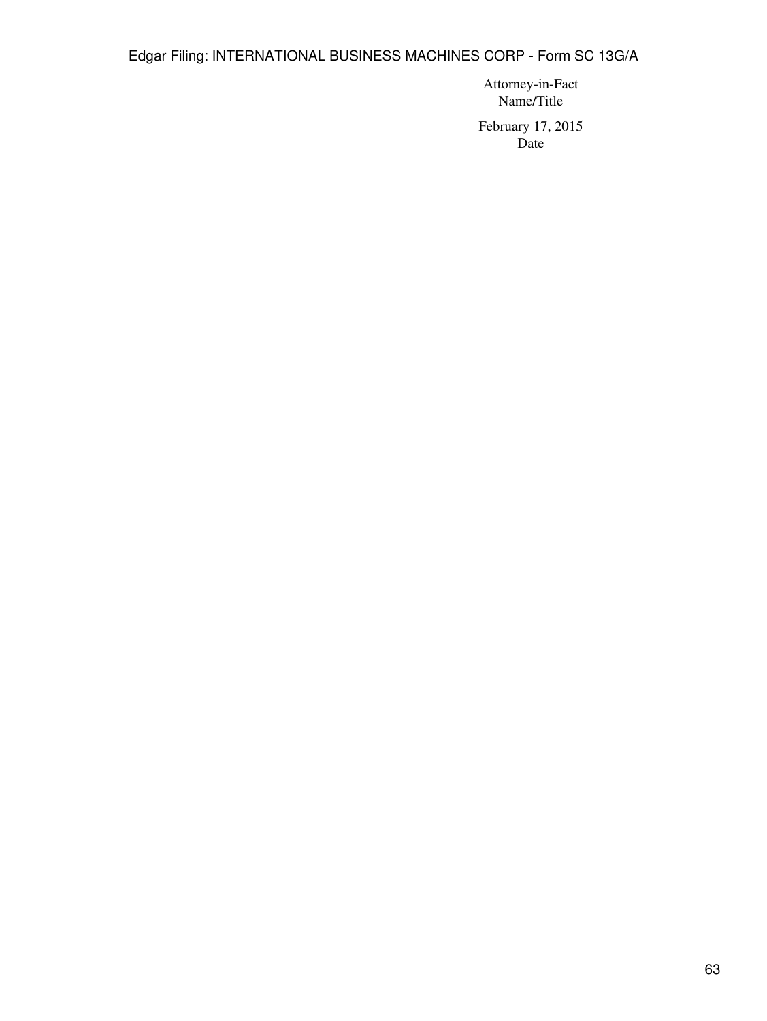Attorney-in-Fact Name/Title

February 17, 2015 Date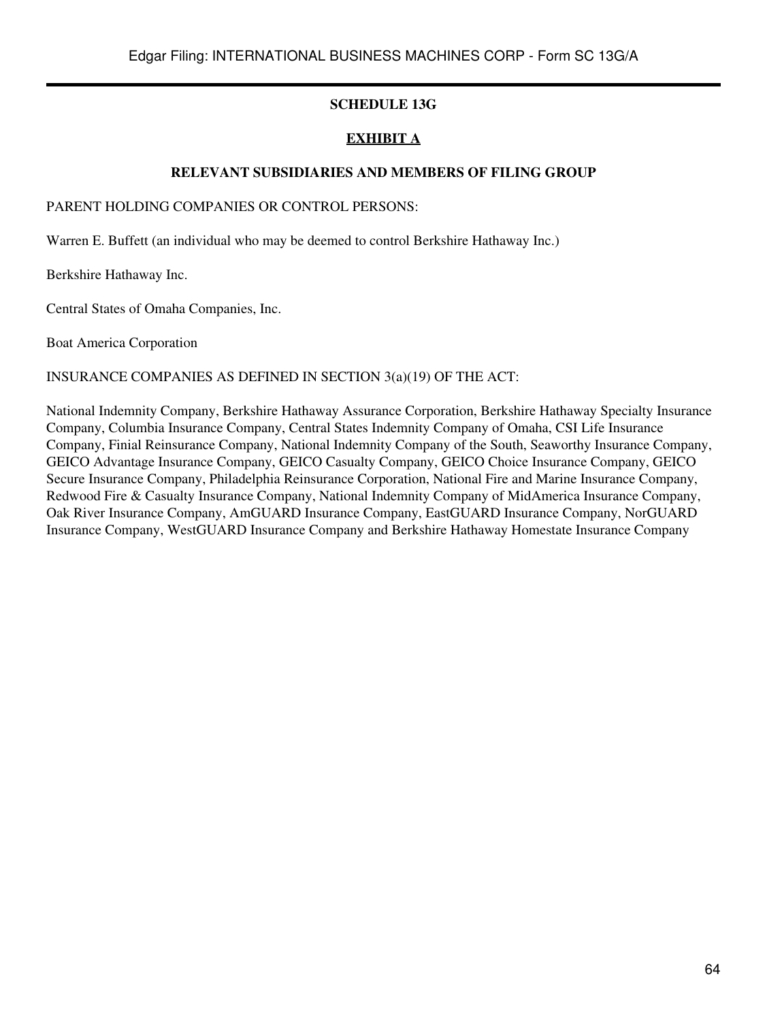## **SCHEDULE 13G**

## **EXHIBIT A**

#### **RELEVANT SUBSIDIARIES AND MEMBERS OF FILING GROUP**

PARENT HOLDING COMPANIES OR CONTROL PERSONS:

Warren E. Buffett (an individual who may be deemed to control Berkshire Hathaway Inc.)

Berkshire Hathaway Inc.

Central States of Omaha Companies, Inc.

Boat America Corporation

#### INSURANCE COMPANIES AS DEFINED IN SECTION 3(a)(19) OF THE ACT:

National Indemnity Company, Berkshire Hathaway Assurance Corporation, Berkshire Hathaway Specialty Insurance Company, Columbia Insurance Company, Central States Indemnity Company of Omaha, CSI Life Insurance Company, Finial Reinsurance Company, National Indemnity Company of the South, Seaworthy Insurance Company, GEICO Advantage Insurance Company, GEICO Casualty Company, GEICO Choice Insurance Company, GEICO Secure Insurance Company, Philadelphia Reinsurance Corporation, National Fire and Marine Insurance Company, Redwood Fire & Casualty Insurance Company, National Indemnity Company of MidAmerica Insurance Company, Oak River Insurance Company, AmGUARD Insurance Company, EastGUARD Insurance Company, NorGUARD Insurance Company, WestGUARD Insurance Company and Berkshire Hathaway Homestate Insurance Company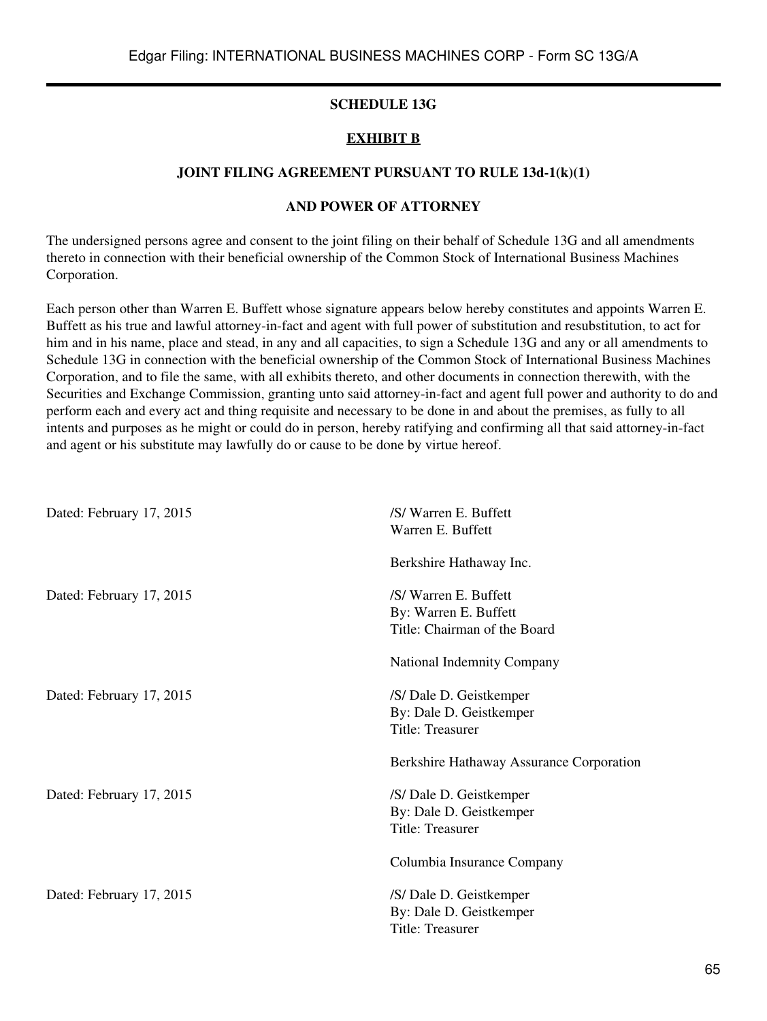#### **SCHEDULE 13G**

#### **EXHIBIT B**

#### **JOINT FILING AGREEMENT PURSUANT TO RULE 13d-1(k)(1)**

## **AND POWER OF ATTORNEY**

The undersigned persons agree and consent to the joint filing on their behalf of Schedule 13G and all amendments thereto in connection with their beneficial ownership of the Common Stock of International Business Machines Corporation.

Each person other than Warren E. Buffett whose signature appears below hereby constitutes and appoints Warren E. Buffett as his true and lawful attorney-in-fact and agent with full power of substitution and resubstitution, to act for him and in his name, place and stead, in any and all capacities, to sign a Schedule 13G and any or all amendments to Schedule 13G in connection with the beneficial ownership of the Common Stock of International Business Machines Corporation, and to file the same, with all exhibits thereto, and other documents in connection therewith, with the Securities and Exchange Commission, granting unto said attorney-in-fact and agent full power and authority to do and perform each and every act and thing requisite and necessary to be done in and about the premises, as fully to all intents and purposes as he might or could do in person, hereby ratifying and confirming all that said attorney-in-fact and agent or his substitute may lawfully do or cause to be done by virtue hereof.

| Dated: February 17, 2015 | /S/ Warren E. Buffett<br>Warren E. Buffett                                     |
|--------------------------|--------------------------------------------------------------------------------|
|                          | Berkshire Hathaway Inc.                                                        |
| Dated: February 17, 2015 | /S/ Warren E. Buffett<br>By: Warren E. Buffett<br>Title: Chairman of the Board |
|                          | National Indemnity Company                                                     |
| Dated: February 17, 2015 | /S/ Dale D. Geistkemper<br>By: Dale D. Geistkemper<br>Title: Treasurer         |
|                          | Berkshire Hathaway Assurance Corporation                                       |
| Dated: February 17, 2015 | /S/ Dale D. Geistkemper<br>By: Dale D. Geistkemper<br>Title: Treasurer         |
|                          | Columbia Insurance Company                                                     |
| Dated: February 17, 2015 | /S/ Dale D. Geistkemper<br>By: Dale D. Geistkemper<br>Title: Treasurer         |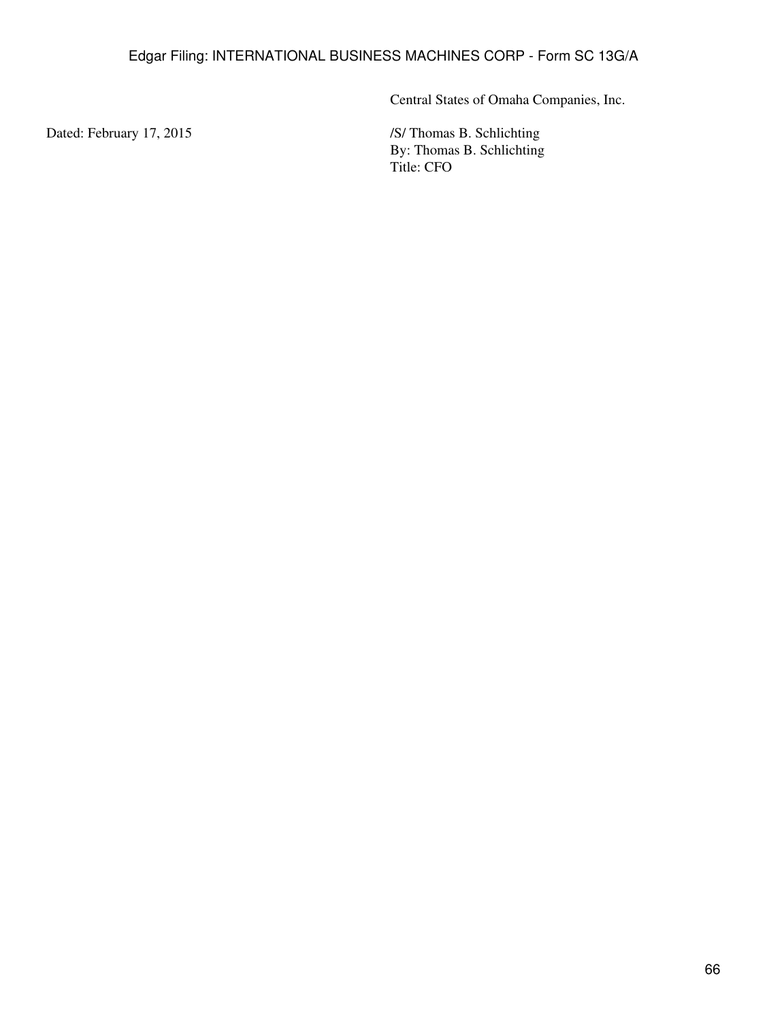Central States of Omaha Companies, Inc.

Dated: February 17, 2015 /S/ Thomas B. Schlichting By: Thomas B. Schlichting Title: CFO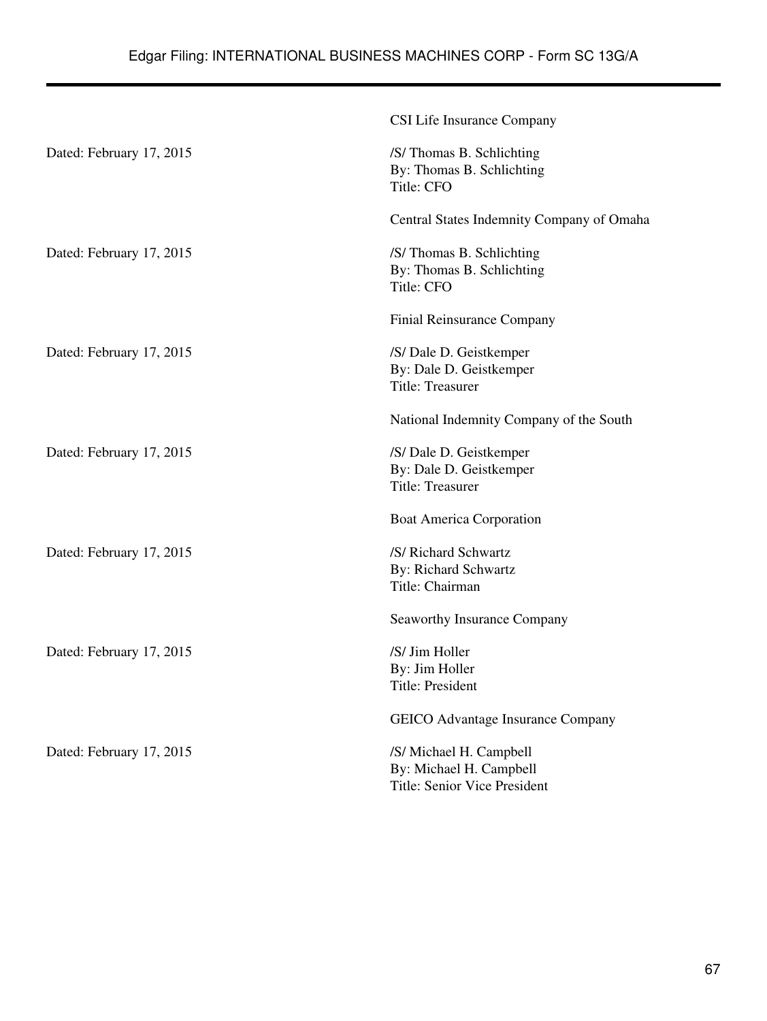|                          | CSI Life Insurance Company                                                         |
|--------------------------|------------------------------------------------------------------------------------|
| Dated: February 17, 2015 | /S/ Thomas B. Schlichting<br>By: Thomas B. Schlichting<br>Title: CFO               |
|                          | Central States Indemnity Company of Omaha                                          |
| Dated: February 17, 2015 | /S/ Thomas B. Schlichting<br>By: Thomas B. Schlichting<br>Title: CFO               |
|                          | Finial Reinsurance Company                                                         |
| Dated: February 17, 2015 | /S/ Dale D. Geistkemper<br>By: Dale D. Geistkemper<br>Title: Treasurer             |
|                          | National Indemnity Company of the South                                            |
| Dated: February 17, 2015 | /S/ Dale D. Geistkemper<br>By: Dale D. Geistkemper<br><b>Title: Treasurer</b>      |
|                          | <b>Boat America Corporation</b>                                                    |
| Dated: February 17, 2015 | /S/ Richard Schwartz<br>By: Richard Schwartz<br>Title: Chairman                    |
|                          | Seaworthy Insurance Company                                                        |
| Dated: February 17, 2015 | /S/ Jim Holler<br>By: Jim Holler<br>Title: President                               |
|                          | GEICO Advantage Insurance Company                                                  |
| Dated: February 17, 2015 | /S/ Michael H. Campbell<br>By: Michael H. Campbell<br>Title: Senior Vice President |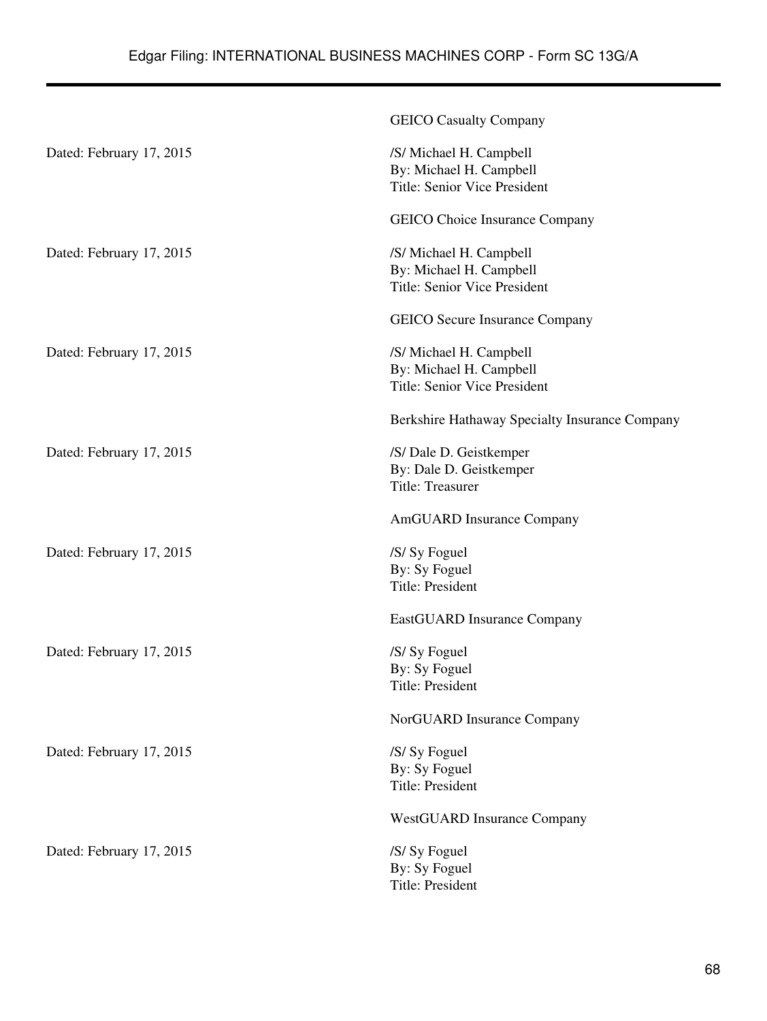|                          | <b>GEICO Casualty Company</b>                                                      |
|--------------------------|------------------------------------------------------------------------------------|
| Dated: February 17, 2015 | /S/ Michael H. Campbell<br>By: Michael H. Campbell<br>Title: Senior Vice President |
|                          | <b>GEICO</b> Choice Insurance Company                                              |
| Dated: February 17, 2015 | /S/ Michael H. Campbell<br>By: Michael H. Campbell<br>Title: Senior Vice President |
|                          | <b>GEICO</b> Secure Insurance Company                                              |
| Dated: February 17, 2015 | /S/ Michael H. Campbell<br>By: Michael H. Campbell<br>Title: Senior Vice President |
|                          | Berkshire Hathaway Specialty Insurance Company                                     |
| Dated: February 17, 2015 | /S/ Dale D. Geistkemper<br>By: Dale D. Geistkemper<br>Title: Treasurer             |
|                          | AmGUARD Insurance Company                                                          |
| Dated: February 17, 2015 | /S/ Sy Foguel<br>By: Sy Foguel<br><b>Title: President</b>                          |
|                          | EastGUARD Insurance Company                                                        |
| Dated: February 17, 2015 | /S/ Sy Foguel<br>By: Sy Foguel<br>Title: President                                 |
|                          | NorGUARD Insurance Company                                                         |
| Dated: February 17, 2015 | /S/ Sy Foguel<br>By: Sy Foguel<br><b>Title: President</b>                          |
|                          | <b>WestGUARD Insurance Company</b>                                                 |
| Dated: February 17, 2015 | /S/ Sy Foguel<br>By: Sy Foguel<br><b>Title: President</b>                          |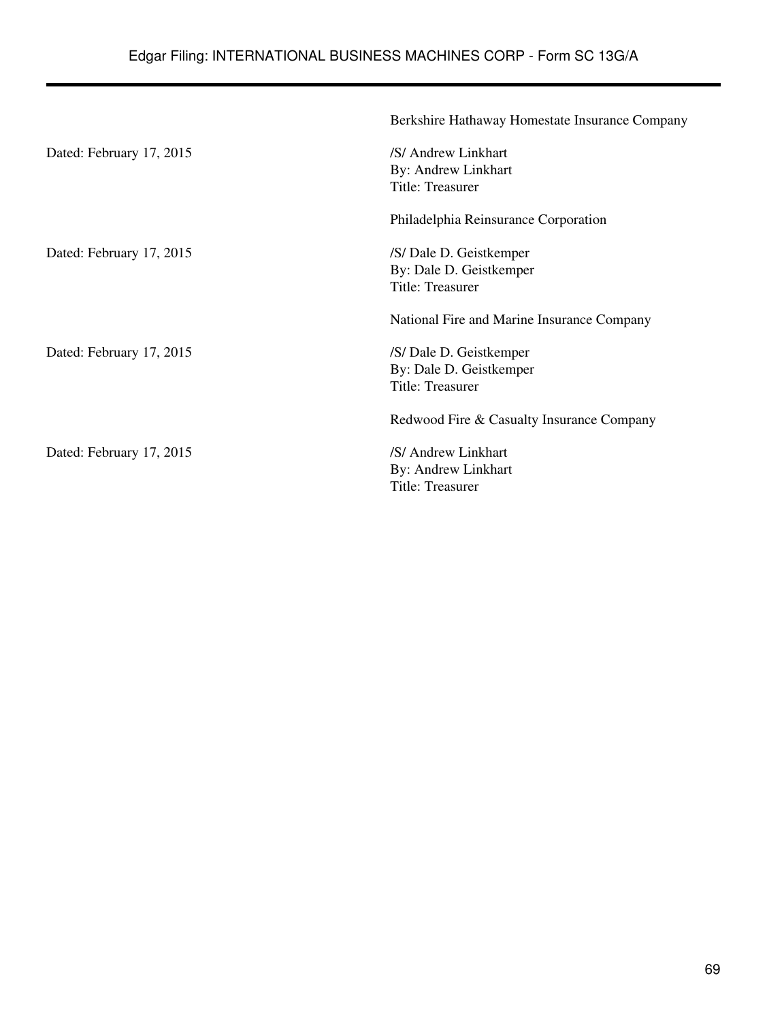|                          | Berkshire Hathaway Homestate Insurance Company |
|--------------------------|------------------------------------------------|
| Dated: February 17, 2015 | /S/ Andrew Linkhart                            |
|                          | By: Andrew Linkhart                            |
|                          | Title: Treasurer                               |
|                          | Philadelphia Reinsurance Corporation           |
| Dated: February 17, 2015 | /S/ Dale D. Geistkemper                        |
|                          | By: Dale D. Geistkemper                        |
|                          | Title: Treasurer                               |
|                          | National Fire and Marine Insurance Company     |
| Dated: February 17, 2015 | /S/ Dale D. Geistkemper                        |
|                          | By: Dale D. Geistkemper                        |
|                          | Title: Treasurer                               |
|                          | Redwood Fire & Casualty Insurance Company      |
| Dated: February 17, 2015 | /S/ Andrew Linkhart                            |
|                          | By: Andrew Linkhart                            |
|                          | Title: Treasurer                               |
|                          |                                                |